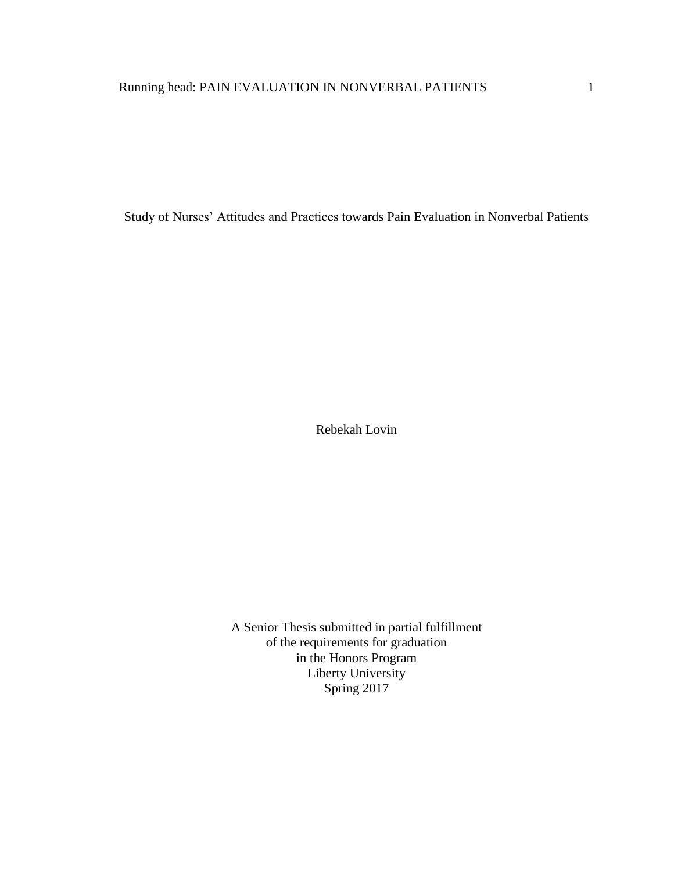Study of Nurses' Attitudes and Practices towards Pain Evaluation in Nonverbal Patients

Rebekah Lovin

A Senior Thesis submitted in partial fulfillment of the requirements for graduation in the Honors Program Liberty University Spring 2017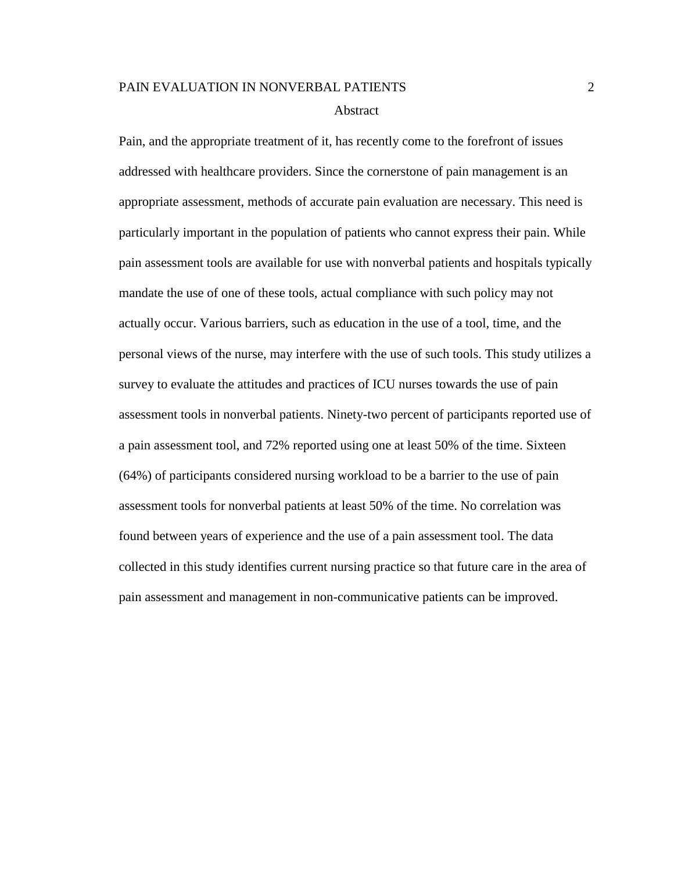#### Abstract

Pain, and the appropriate treatment of it, has recently come to the forefront of issues addressed with healthcare providers. Since the cornerstone of pain management is an appropriate assessment, methods of accurate pain evaluation are necessary. This need is particularly important in the population of patients who cannot express their pain. While pain assessment tools are available for use with nonverbal patients and hospitals typically mandate the use of one of these tools, actual compliance with such policy may not actually occur. Various barriers, such as education in the use of a tool, time, and the personal views of the nurse, may interfere with the use of such tools. This study utilizes a survey to evaluate the attitudes and practices of ICU nurses towards the use of pain assessment tools in nonverbal patients. Ninety-two percent of participants reported use of a pain assessment tool, and 72% reported using one at least 50% of the time. Sixteen (64%) of participants considered nursing workload to be a barrier to the use of pain assessment tools for nonverbal patients at least 50% of the time. No correlation was found between years of experience and the use of a pain assessment tool. The data collected in this study identifies current nursing practice so that future care in the area of pain assessment and management in non-communicative patients can be improved.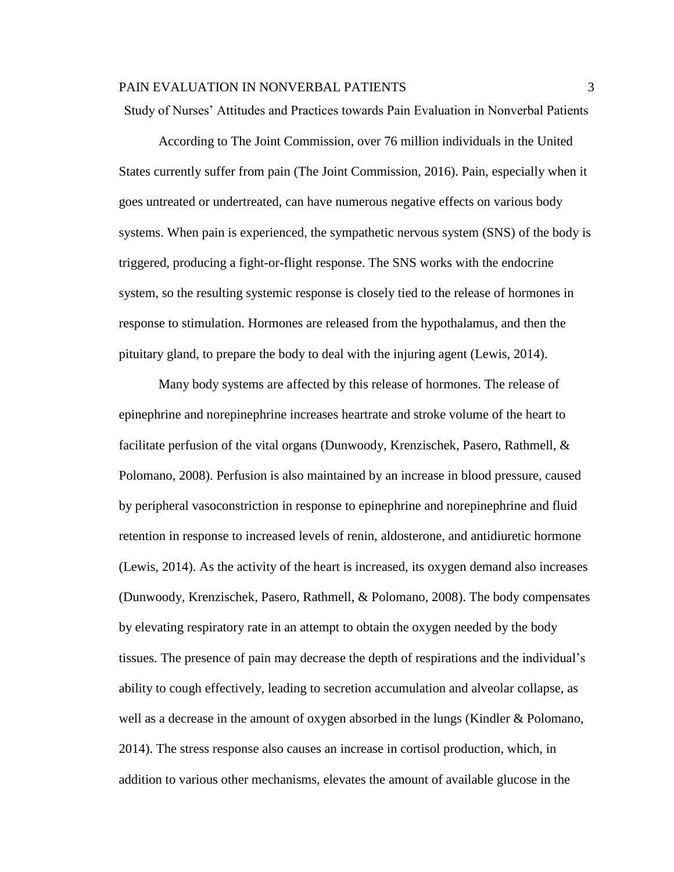Study of Nurses' Attitudes and Practices towards Pain Evaluation in Nonverbal Patients

According to The Joint Commission, over 76 million individuals in the United States currently suffer from pain (The Joint Commission, 2016). Pain, especially when it goes untreated or undertreated, can have numerous negative effects on various body systems. When pain is experienced, the sympathetic nervous system (SNS) of the body is triggered, producing a fight-or-flight response. The SNS works with the endocrine system, so the resulting systemic response is closely tied to the release of hormones in response to stimulation. Hormones are released from the hypothalamus, and then the pituitary gland, to prepare the body to deal with the injuring agent (Lewis, 2014).

Many body systems are affected by this release of hormones. The release of epinephrine and norepinephrine increases heartrate and stroke volume of the heart to facilitate perfusion of the vital organs (Dunwoody, Krenzischek, Pasero, Rathmell, & Polomano, 2008). Perfusion is also maintained by an increase in blood pressure, caused by peripheral vasoconstriction in response to epinephrine and norepinephrine and fluid retention in response to increased levels of renin, aldosterone, and antidiuretic hormone (Lewis, 2014). As the activity of the heart is increased, its oxygen demand also increases (Dunwoody, Krenzischek, Pasero, Rathmell, & Polomano, 2008). The body compensates by elevating respiratory rate in an attempt to obtain the oxygen needed by the body tissues. The presence of pain may decrease the depth of respirations and the individual's ability to cough effectively, leading to secretion accumulation and alveolar collapse, as well as a decrease in the amount of oxygen absorbed in the lungs (Kindler & Polomano, 2014). The stress response also causes an increase in cortisol production, which, in addition to various other mechanisms, elevates the amount of available glucose in the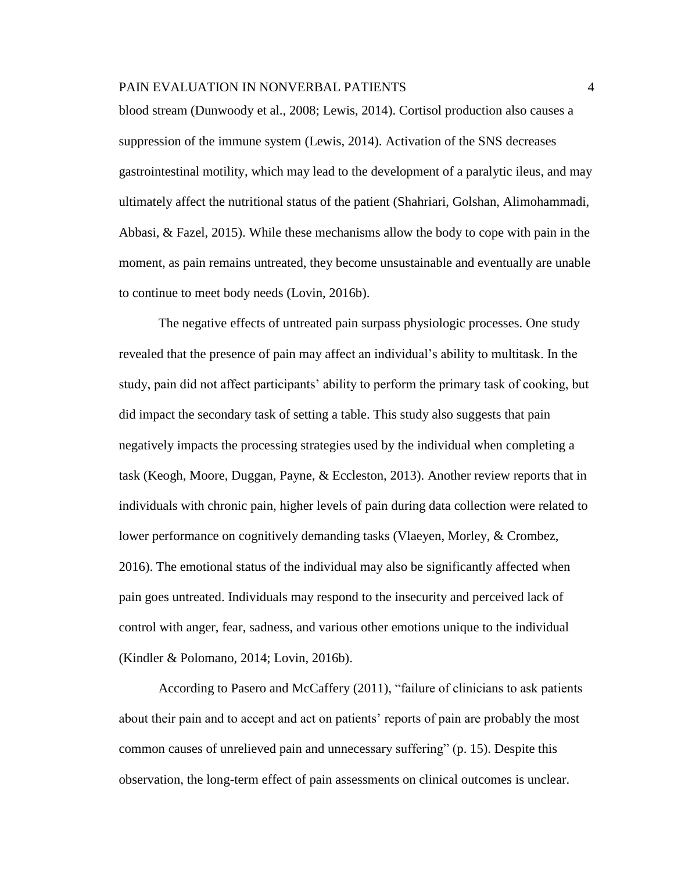blood stream (Dunwoody et al., 2008; Lewis, 2014). Cortisol production also causes a suppression of the immune system (Lewis, 2014). Activation of the SNS decreases gastrointestinal motility, which may lead to the development of a paralytic ileus, and may ultimately affect the nutritional status of the patient (Shahriari, Golshan, Alimohammadi, Abbasi, & Fazel, 2015). While these mechanisms allow the body to cope with pain in the moment, as pain remains untreated, they become unsustainable and eventually are unable to continue to meet body needs (Lovin, 2016b).

The negative effects of untreated pain surpass physiologic processes. One study revealed that the presence of pain may affect an individual's ability to multitask. In the study, pain did not affect participants' ability to perform the primary task of cooking, but did impact the secondary task of setting a table. This study also suggests that pain negatively impacts the processing strategies used by the individual when completing a task (Keogh, Moore, Duggan, Payne, & Eccleston, 2013). Another review reports that in individuals with chronic pain, higher levels of pain during data collection were related to lower performance on cognitively demanding tasks (Vlaeyen, Morley, & Crombez, 2016). The emotional status of the individual may also be significantly affected when pain goes untreated. Individuals may respond to the insecurity and perceived lack of control with anger, fear, sadness, and various other emotions unique to the individual (Kindler & Polomano, 2014; Lovin, 2016b).

According to Pasero and McCaffery (2011), "failure of clinicians to ask patients about their pain and to accept and act on patients' reports of pain are probably the most common causes of unrelieved pain and unnecessary suffering" (p. 15). Despite this observation, the long-term effect of pain assessments on clinical outcomes is unclear.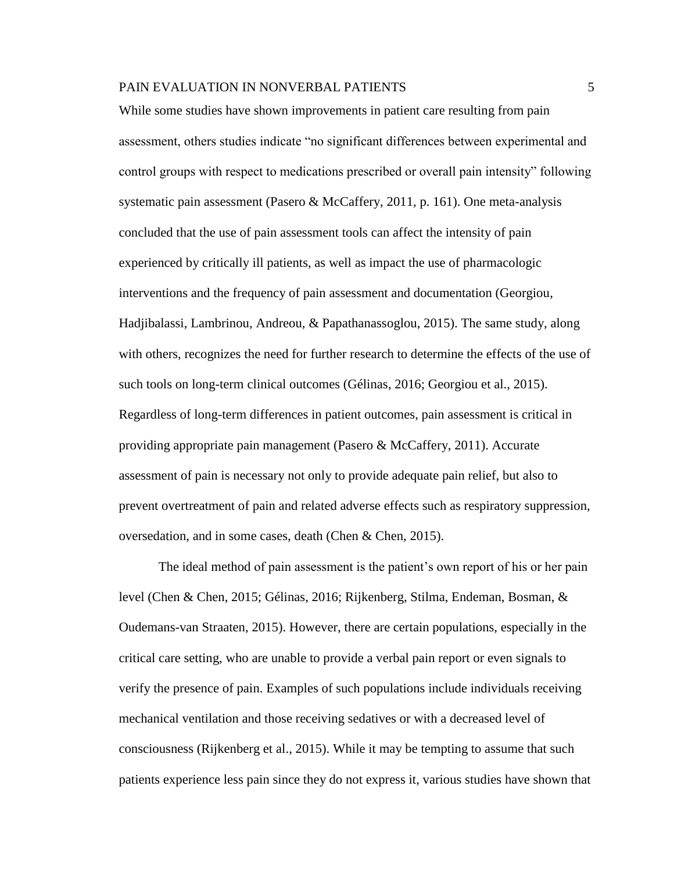While some studies have shown improvements in patient care resulting from pain assessment, others studies indicate "no significant differences between experimental and control groups with respect to medications prescribed or overall pain intensity" following systematic pain assessment (Pasero & McCaffery, 2011, p. 161). One meta-analysis concluded that the use of pain assessment tools can affect the intensity of pain experienced by critically ill patients, as well as impact the use of pharmacologic interventions and the frequency of pain assessment and documentation (Georgiou, Hadjibalassi, Lambrinou, Andreou, & Papathanassoglou, 2015). The same study, along with others, recognizes the need for further research to determine the effects of the use of such tools on long-term clinical outcomes (Gélinas, 2016; Georgiou et al., 2015). Regardless of long-term differences in patient outcomes, pain assessment is critical in providing appropriate pain management (Pasero & McCaffery, 2011). Accurate assessment of pain is necessary not only to provide adequate pain relief, but also to prevent overtreatment of pain and related adverse effects such as respiratory suppression, oversedation, and in some cases, death (Chen & Chen, 2015).

The ideal method of pain assessment is the patient's own report of his or her pain level (Chen & Chen, 2015; Gélinas, 2016; Rijkenberg, Stilma, Endeman, Bosman, & Oudemans-van Straaten, 2015). However, there are certain populations, especially in the critical care setting, who are unable to provide a verbal pain report or even signals to verify the presence of pain. Examples of such populations include individuals receiving mechanical ventilation and those receiving sedatives or with a decreased level of consciousness (Rijkenberg et al., 2015). While it may be tempting to assume that such patients experience less pain since they do not express it, various studies have shown that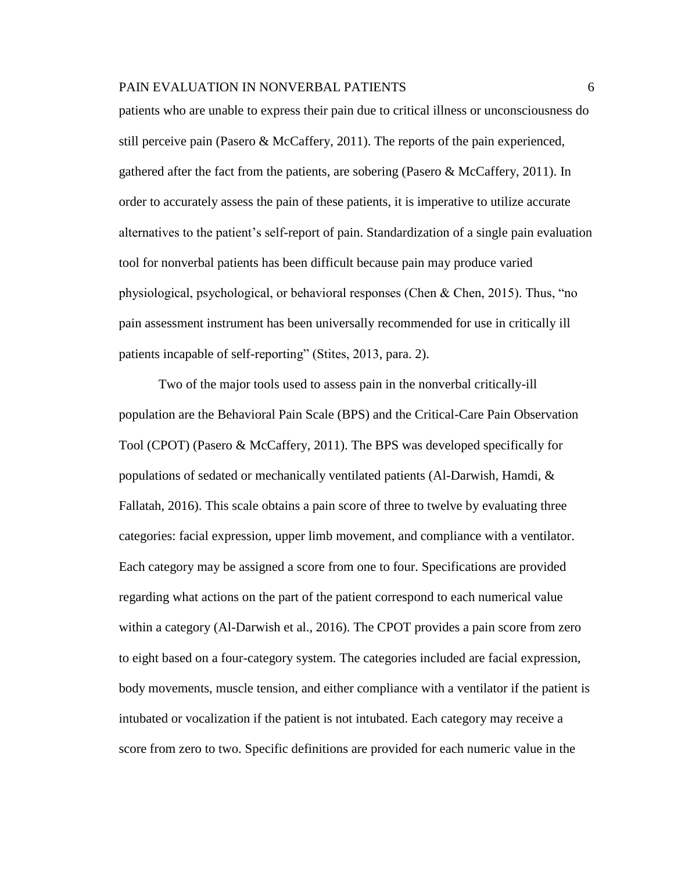patients who are unable to express their pain due to critical illness or unconsciousness do still perceive pain (Pasero & McCaffery, 2011). The reports of the pain experienced, gathered after the fact from the patients, are sobering (Pasero & McCaffery, 2011). In order to accurately assess the pain of these patients, it is imperative to utilize accurate alternatives to the patient's self-report of pain. Standardization of a single pain evaluation tool for nonverbal patients has been difficult because pain may produce varied physiological, psychological, or behavioral responses (Chen & Chen, 2015). Thus, "no pain assessment instrument has been universally recommended for use in critically ill patients incapable of self-reporting" (Stites, 2013, para. 2).

Two of the major tools used to assess pain in the nonverbal critically-ill population are the Behavioral Pain Scale (BPS) and the Critical-Care Pain Observation Tool (CPOT) (Pasero & McCaffery, 2011). The BPS was developed specifically for populations of sedated or mechanically ventilated patients (Al-Darwish, Hamdi, & Fallatah, 2016). This scale obtains a pain score of three to twelve by evaluating three categories: facial expression, upper limb movement, and compliance with a ventilator. Each category may be assigned a score from one to four. Specifications are provided regarding what actions on the part of the patient correspond to each numerical value within a category (Al-Darwish et al., 2016). The CPOT provides a pain score from zero to eight based on a four-category system. The categories included are facial expression, body movements, muscle tension, and either compliance with a ventilator if the patient is intubated or vocalization if the patient is not intubated. Each category may receive a score from zero to two. Specific definitions are provided for each numeric value in the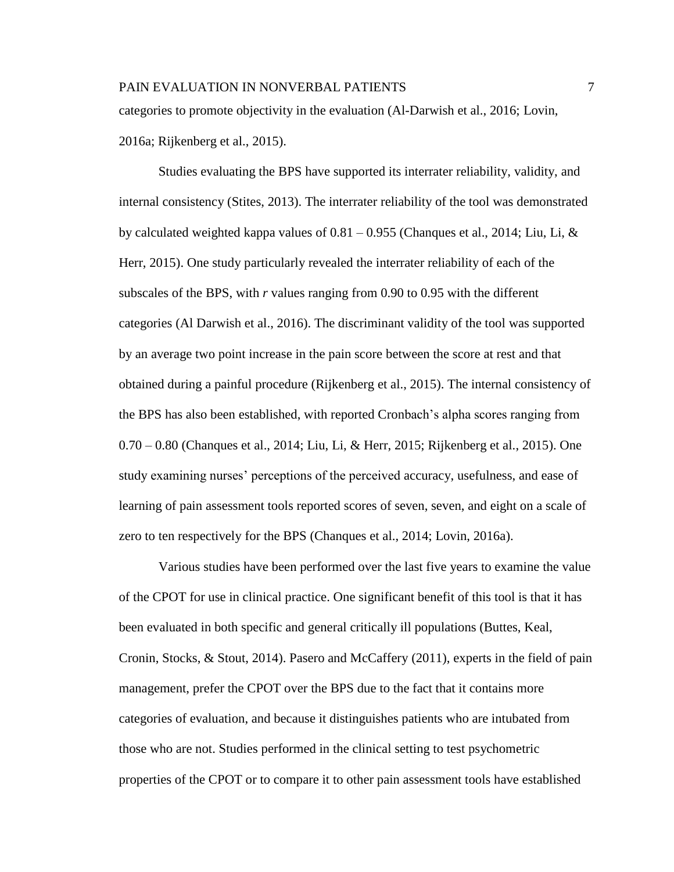categories to promote objectivity in the evaluation (Al-Darwish et al., 2016; Lovin, 2016a; Rijkenberg et al., 2015).

Studies evaluating the BPS have supported its interrater reliability, validity, and internal consistency (Stites, 2013). The interrater reliability of the tool was demonstrated by calculated weighted kappa values of  $0.81 - 0.955$  (Chanques et al., 2014; Liu, Li, & Herr, 2015). One study particularly revealed the interrater reliability of each of the subscales of the BPS, with *r* values ranging from 0.90 to 0.95 with the different categories (Al Darwish et al., 2016). The discriminant validity of the tool was supported by an average two point increase in the pain score between the score at rest and that obtained during a painful procedure (Rijkenberg et al., 2015). The internal consistency of the BPS has also been established, with reported Cronbach's alpha scores ranging from 0.70 – 0.80 (Chanques et al., 2014; Liu, Li, & Herr, 2015; Rijkenberg et al., 2015). One study examining nurses' perceptions of the perceived accuracy, usefulness, and ease of learning of pain assessment tools reported scores of seven, seven, and eight on a scale of zero to ten respectively for the BPS (Chanques et al., 2014; Lovin, 2016a).

Various studies have been performed over the last five years to examine the value of the CPOT for use in clinical practice. One significant benefit of this tool is that it has been evaluated in both specific and general critically ill populations (Buttes, Keal, Cronin, Stocks, & Stout, 2014). Pasero and McCaffery (2011), experts in the field of pain management, prefer the CPOT over the BPS due to the fact that it contains more categories of evaluation, and because it distinguishes patients who are intubated from those who are not. Studies performed in the clinical setting to test psychometric properties of the CPOT or to compare it to other pain assessment tools have established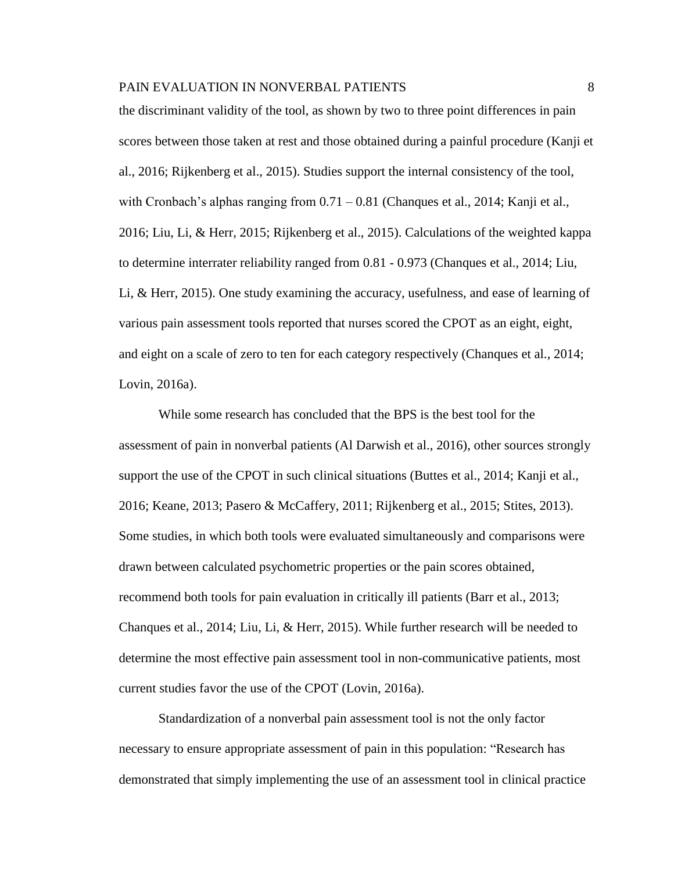the discriminant validity of the tool, as shown by two to three point differences in pain scores between those taken at rest and those obtained during a painful procedure (Kanji et al., 2016; Rijkenberg et al., 2015). Studies support the internal consistency of the tool, with Cronbach's alphas ranging from  $0.71 - 0.81$  (Changues et al., 2014; Kanji et al., 2016; Liu, Li, & Herr, 2015; Rijkenberg et al., 2015). Calculations of the weighted kappa to determine interrater reliability ranged from 0.81 - 0.973 (Chanques et al., 2014; Liu, Li, & Herr, 2015). One study examining the accuracy, usefulness, and ease of learning of various pain assessment tools reported that nurses scored the CPOT as an eight, eight, and eight on a scale of zero to ten for each category respectively (Chanques et al., 2014; Lovin, 2016a).

While some research has concluded that the BPS is the best tool for the assessment of pain in nonverbal patients (Al Darwish et al., 2016), other sources strongly support the use of the CPOT in such clinical situations (Buttes et al., 2014; Kanji et al., 2016; Keane, 2013; Pasero & McCaffery, 2011; Rijkenberg et al., 2015; Stites, 2013). Some studies, in which both tools were evaluated simultaneously and comparisons were drawn between calculated psychometric properties or the pain scores obtained, recommend both tools for pain evaluation in critically ill patients (Barr et al., 2013; Chanques et al., 2014; Liu, Li, & Herr, 2015). While further research will be needed to determine the most effective pain assessment tool in non-communicative patients, most current studies favor the use of the CPOT (Lovin, 2016a).

Standardization of a nonverbal pain assessment tool is not the only factor necessary to ensure appropriate assessment of pain in this population: "Research has demonstrated that simply implementing the use of an assessment tool in clinical practice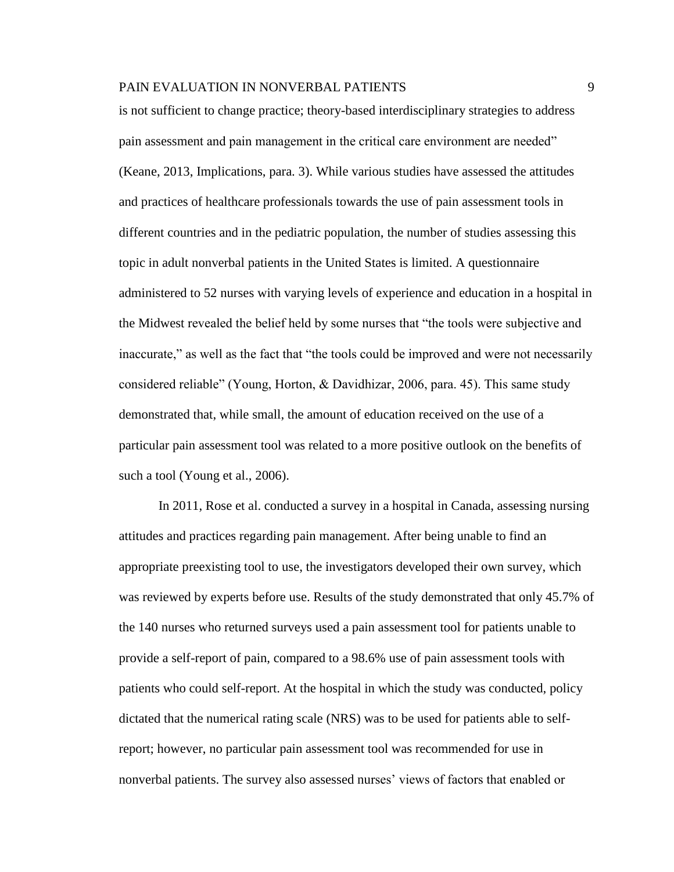is not sufficient to change practice; theory-based interdisciplinary strategies to address pain assessment and pain management in the critical care environment are needed" (Keane, 2013, Implications, para. 3). While various studies have assessed the attitudes and practices of healthcare professionals towards the use of pain assessment tools in different countries and in the pediatric population, the number of studies assessing this topic in adult nonverbal patients in the United States is limited. A questionnaire administered to 52 nurses with varying levels of experience and education in a hospital in the Midwest revealed the belief held by some nurses that "the tools were subjective and inaccurate," as well as the fact that "the tools could be improved and were not necessarily considered reliable" (Young, Horton, & Davidhizar, 2006, para. 45). This same study demonstrated that, while small, the amount of education received on the use of a particular pain assessment tool was related to a more positive outlook on the benefits of such a tool (Young et al., 2006).

In 2011, Rose et al. conducted a survey in a hospital in Canada, assessing nursing attitudes and practices regarding pain management. After being unable to find an appropriate preexisting tool to use, the investigators developed their own survey, which was reviewed by experts before use. Results of the study demonstrated that only 45.7% of the 140 nurses who returned surveys used a pain assessment tool for patients unable to provide a self-report of pain, compared to a 98.6% use of pain assessment tools with patients who could self-report. At the hospital in which the study was conducted, policy dictated that the numerical rating scale (NRS) was to be used for patients able to selfreport; however, no particular pain assessment tool was recommended for use in nonverbal patients. The survey also assessed nurses' views of factors that enabled or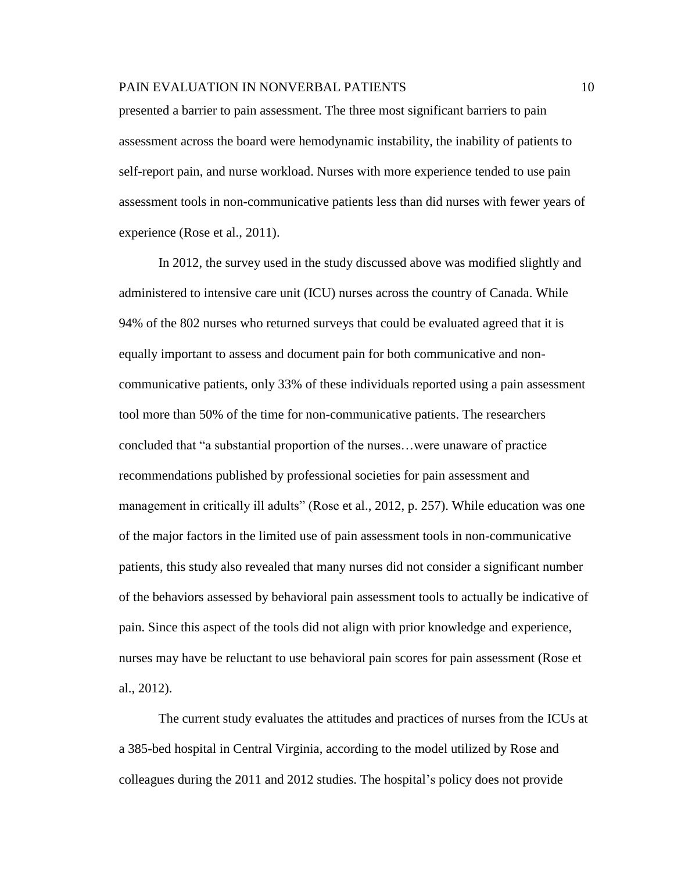presented a barrier to pain assessment. The three most significant barriers to pain assessment across the board were hemodynamic instability, the inability of patients to self-report pain, and nurse workload. Nurses with more experience tended to use pain assessment tools in non-communicative patients less than did nurses with fewer years of experience (Rose et al., 2011).

In 2012, the survey used in the study discussed above was modified slightly and administered to intensive care unit (ICU) nurses across the country of Canada. While 94% of the 802 nurses who returned surveys that could be evaluated agreed that it is equally important to assess and document pain for both communicative and noncommunicative patients, only 33% of these individuals reported using a pain assessment tool more than 50% of the time for non-communicative patients. The researchers concluded that "a substantial proportion of the nurses…were unaware of practice recommendations published by professional societies for pain assessment and management in critically ill adults" (Rose et al., 2012, p. 257). While education was one of the major factors in the limited use of pain assessment tools in non-communicative patients, this study also revealed that many nurses did not consider a significant number of the behaviors assessed by behavioral pain assessment tools to actually be indicative of pain. Since this aspect of the tools did not align with prior knowledge and experience, nurses may have be reluctant to use behavioral pain scores for pain assessment (Rose et al., 2012).

The current study evaluates the attitudes and practices of nurses from the ICUs at a 385-bed hospital in Central Virginia, according to the model utilized by Rose and colleagues during the 2011 and 2012 studies. The hospital's policy does not provide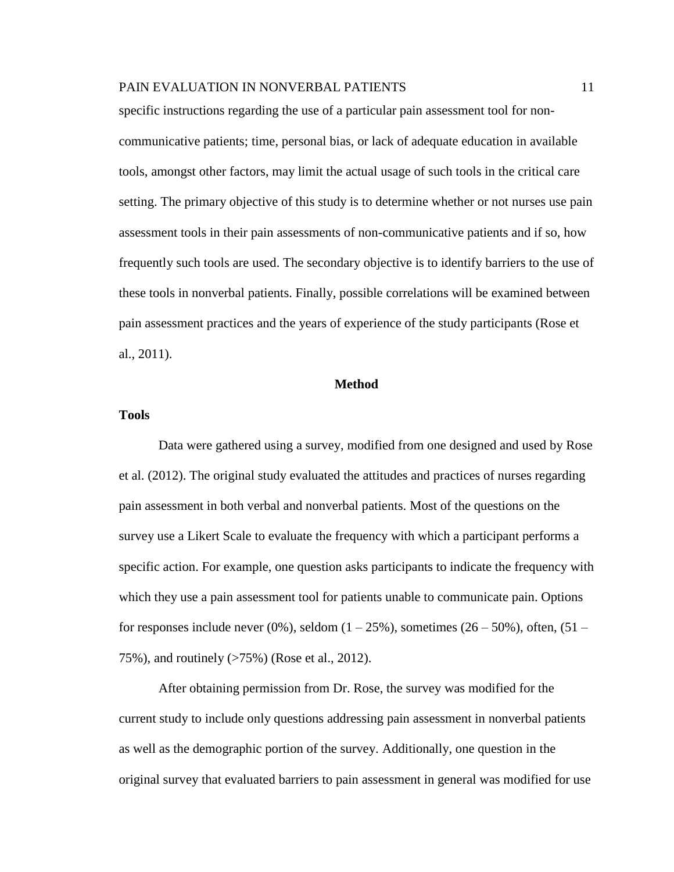specific instructions regarding the use of a particular pain assessment tool for noncommunicative patients; time, personal bias, or lack of adequate education in available tools, amongst other factors, may limit the actual usage of such tools in the critical care setting. The primary objective of this study is to determine whether or not nurses use pain assessment tools in their pain assessments of non-communicative patients and if so, how frequently such tools are used. The secondary objective is to identify barriers to the use of these tools in nonverbal patients. Finally, possible correlations will be examined between pain assessment practices and the years of experience of the study participants (Rose et al., 2011).

#### **Method**

#### **Tools**

Data were gathered using a survey, modified from one designed and used by Rose et al. (2012). The original study evaluated the attitudes and practices of nurses regarding pain assessment in both verbal and nonverbal patients. Most of the questions on the survey use a Likert Scale to evaluate the frequency with which a participant performs a specific action. For example, one question asks participants to indicate the frequency with which they use a pain assessment tool for patients unable to communicate pain. Options for responses include never (0%), seldom  $(1 - 25\%)$ , sometimes (26 – 50%), often, (51 – 75%), and routinely (>75%) (Rose et al., 2012).

After obtaining permission from Dr. Rose, the survey was modified for the current study to include only questions addressing pain assessment in nonverbal patients as well as the demographic portion of the survey. Additionally, one question in the original survey that evaluated barriers to pain assessment in general was modified for use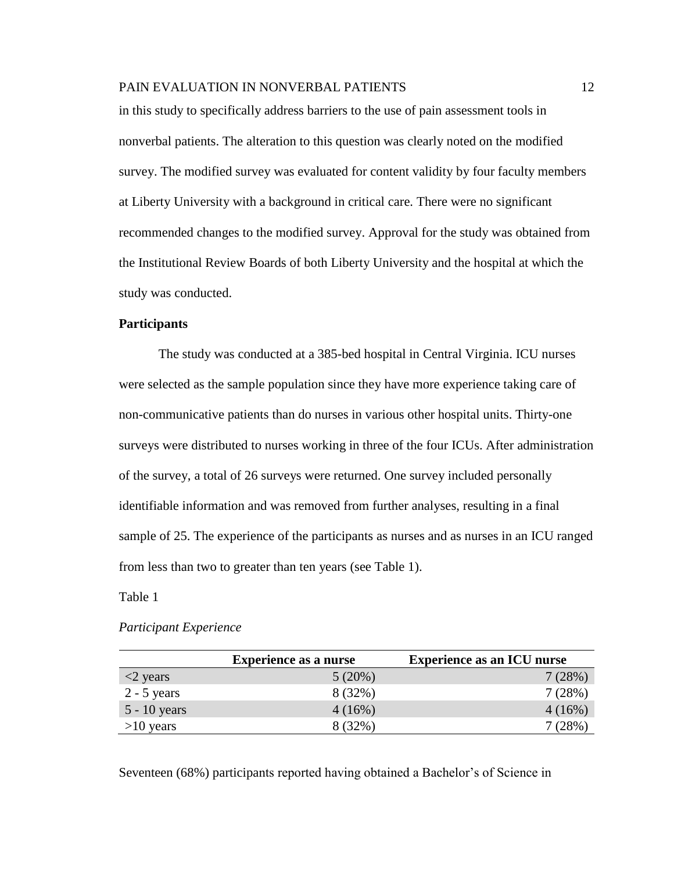in this study to specifically address barriers to the use of pain assessment tools in nonverbal patients. The alteration to this question was clearly noted on the modified survey. The modified survey was evaluated for content validity by four faculty members at Liberty University with a background in critical care. There were no significant recommended changes to the modified survey. Approval for the study was obtained from the Institutional Review Boards of both Liberty University and the hospital at which the study was conducted.

#### **Participants**

The study was conducted at a 385-bed hospital in Central Virginia. ICU nurses were selected as the sample population since they have more experience taking care of non-communicative patients than do nurses in various other hospital units. Thirty-one surveys were distributed to nurses working in three of the four ICUs. After administration of the survey, a total of 26 surveys were returned. One survey included personally identifiable information and was removed from further analyses, resulting in a final sample of 25. The experience of the participants as nurses and as nurses in an ICU ranged from less than two to greater than ten years (see Table 1).

Table 1

#### *Participant Experience*

|                           | <b>Experience as a nurse</b> | <b>Experience as an ICU nurse</b> |
|---------------------------|------------------------------|-----------------------------------|
| $\langle 2 \rangle$ years | 5(20%)                       | 7(28%)                            |
| $2 - 5$ years             | 8 (32%)                      | 7(28%)                            |
| $5 - 10$ years            | 4(16%)                       | 4(16%)                            |
| $>10$ years               | 8 (32%)                      | $7(28\%)$                         |

Seventeen (68%) participants reported having obtained a Bachelor's of Science in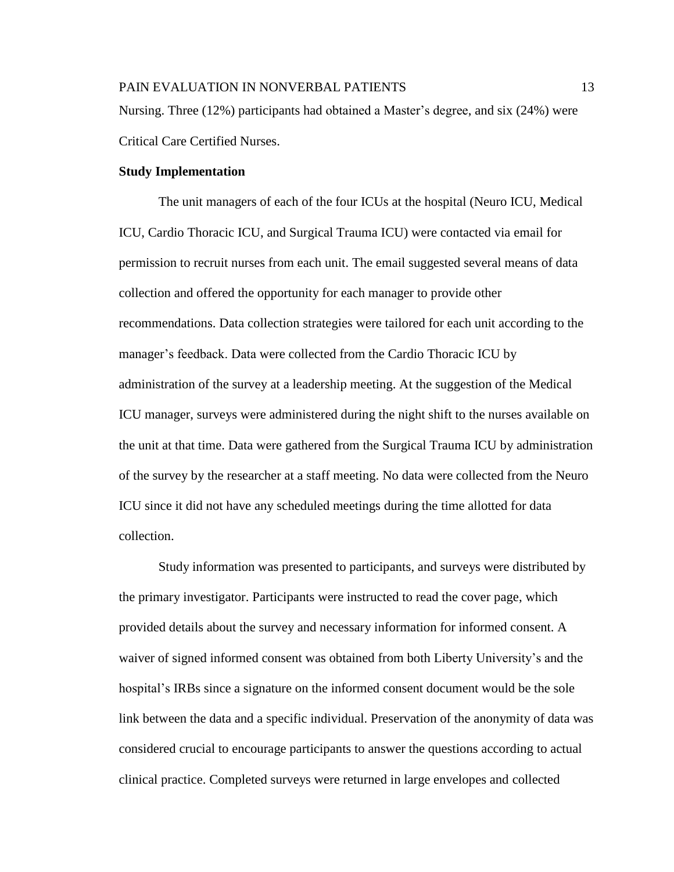#### **Study Implementation**

The unit managers of each of the four ICUs at the hospital (Neuro ICU, Medical ICU, Cardio Thoracic ICU, and Surgical Trauma ICU) were contacted via email for permission to recruit nurses from each unit. The email suggested several means of data collection and offered the opportunity for each manager to provide other recommendations. Data collection strategies were tailored for each unit according to the manager's feedback. Data were collected from the Cardio Thoracic ICU by administration of the survey at a leadership meeting. At the suggestion of the Medical ICU manager, surveys were administered during the night shift to the nurses available on the unit at that time. Data were gathered from the Surgical Trauma ICU by administration of the survey by the researcher at a staff meeting. No data were collected from the Neuro ICU since it did not have any scheduled meetings during the time allotted for data collection.

Study information was presented to participants, and surveys were distributed by the primary investigator. Participants were instructed to read the cover page, which provided details about the survey and necessary information for informed consent. A waiver of signed informed consent was obtained from both Liberty University's and the hospital's IRBs since a signature on the informed consent document would be the sole link between the data and a specific individual. Preservation of the anonymity of data was considered crucial to encourage participants to answer the questions according to actual clinical practice. Completed surveys were returned in large envelopes and collected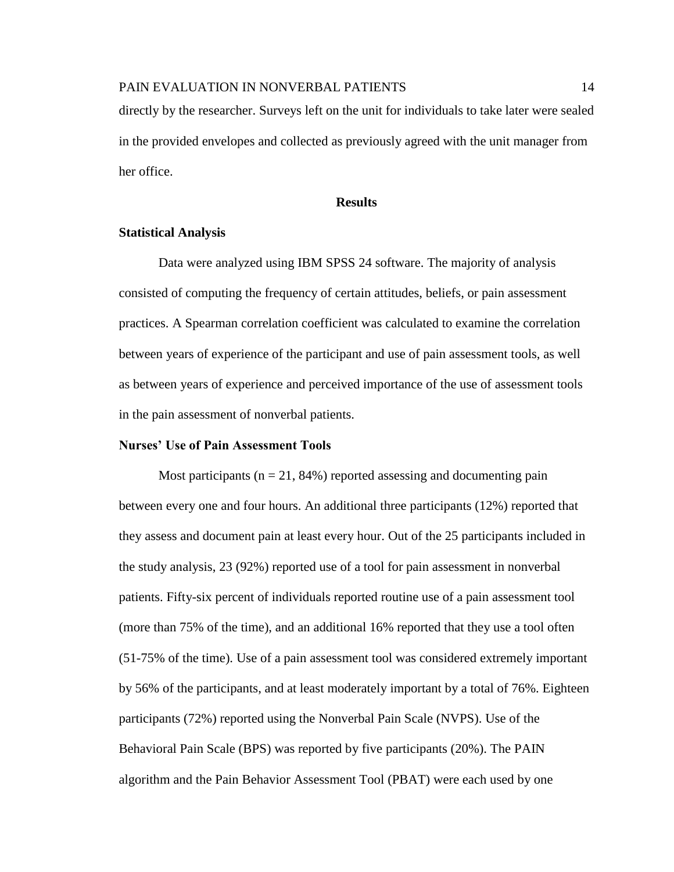directly by the researcher. Surveys left on the unit for individuals to take later were sealed

in the provided envelopes and collected as previously agreed with the unit manager from her office.

#### **Results**

#### **Statistical Analysis**

Data were analyzed using IBM SPSS 24 software. The majority of analysis consisted of computing the frequency of certain attitudes, beliefs, or pain assessment practices. A Spearman correlation coefficient was calculated to examine the correlation between years of experience of the participant and use of pain assessment tools, as well as between years of experience and perceived importance of the use of assessment tools in the pain assessment of nonverbal patients.

#### **Nurses' Use of Pain Assessment Tools**

Most participants ( $n = 21$ , 84%) reported assessing and documenting pain between every one and four hours. An additional three participants (12%) reported that they assess and document pain at least every hour. Out of the 25 participants included in the study analysis, 23 (92%) reported use of a tool for pain assessment in nonverbal patients. Fifty-six percent of individuals reported routine use of a pain assessment tool (more than 75% of the time), and an additional 16% reported that they use a tool often (51-75% of the time). Use of a pain assessment tool was considered extremely important by 56% of the participants, and at least moderately important by a total of 76%. Eighteen participants (72%) reported using the Nonverbal Pain Scale (NVPS). Use of the Behavioral Pain Scale (BPS) was reported by five participants (20%). The PAIN algorithm and the Pain Behavior Assessment Tool (PBAT) were each used by one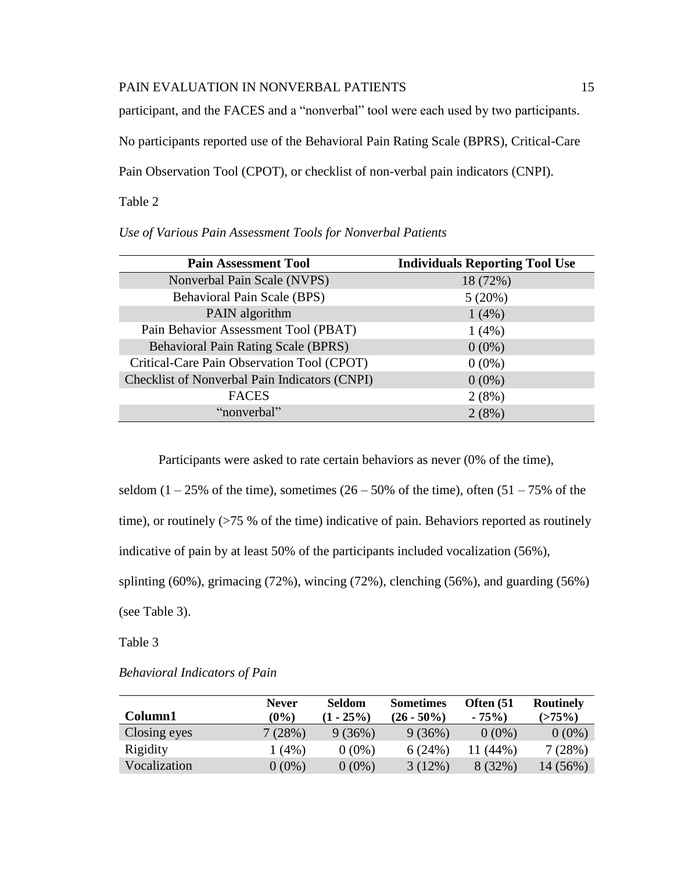participant, and the FACES and a "nonverbal" tool were each used by two participants.

No participants reported use of the Behavioral Pain Rating Scale (BPRS), Critical-Care

Pain Observation Tool (CPOT), or checklist of non-verbal pain indicators (CNPI).

Table 2

| <b>Pain Assessment Tool</b>                   | <b>Individuals Reporting Tool Use</b> |
|-----------------------------------------------|---------------------------------------|
| Nonverbal Pain Scale (NVPS)                   | 18 (72%)                              |
| <b>Behavioral Pain Scale (BPS)</b>            | 5(20%)                                |
| PAIN algorithm                                | 1(4%)                                 |
| Pain Behavior Assessment Tool (PBAT)          | 1(4%)                                 |
| <b>Behavioral Pain Rating Scale (BPRS)</b>    | $0(0\%)$                              |
| Critical-Care Pain Observation Tool (CPOT)    | $0(0\%)$                              |
| Checklist of Nonverbal Pain Indicators (CNPI) | $0(0\%)$                              |
| <b>FACES</b>                                  | 2(8%)                                 |
| "nonverbal"                                   | 2(8%)                                 |

Participants were asked to rate certain behaviors as never (0% of the time),

seldom  $(1 - 25\%$  of the time), sometimes  $(26 - 50\%$  of the time), often  $(51 - 75\%$  of the

time), or routinely (>75 % of the time) indicative of pain. Behaviors reported as routinely

indicative of pain by at least 50% of the participants included vocalization (56%),

splinting (60%), grimacing (72%), wincing (72%), clenching (56%), and guarding (56%)

(see Table 3).

Table 3

| <b>Behavioral Indicators of Pain</b> |  |
|--------------------------------------|--|
|                                      |  |

|              | <b>Never</b> | <b>Seldom</b> | <b>Sometimes</b> | Often (51 | <b>Routinely</b> |
|--------------|--------------|---------------|------------------|-----------|------------------|
| Column1      | $(0\%)$      | $(1 - 25\%)$  | $(26 - 50\%)$    | $-75%$    | (>75%)           |
| Closing eyes | 7(28%)       | 9(36%)        | 9(36%)           | $0(0\%)$  | $0(0\%)$         |
| Rigidity     | 1 (4%)       | $0(0\%)$      | 6(24%)           | 11 (44%)  | 7(28%)           |
| Vocalization | $0(0\%)$     | $0(0\%)$      | 3(12%)           | 8(32%)    | 14 (56%)         |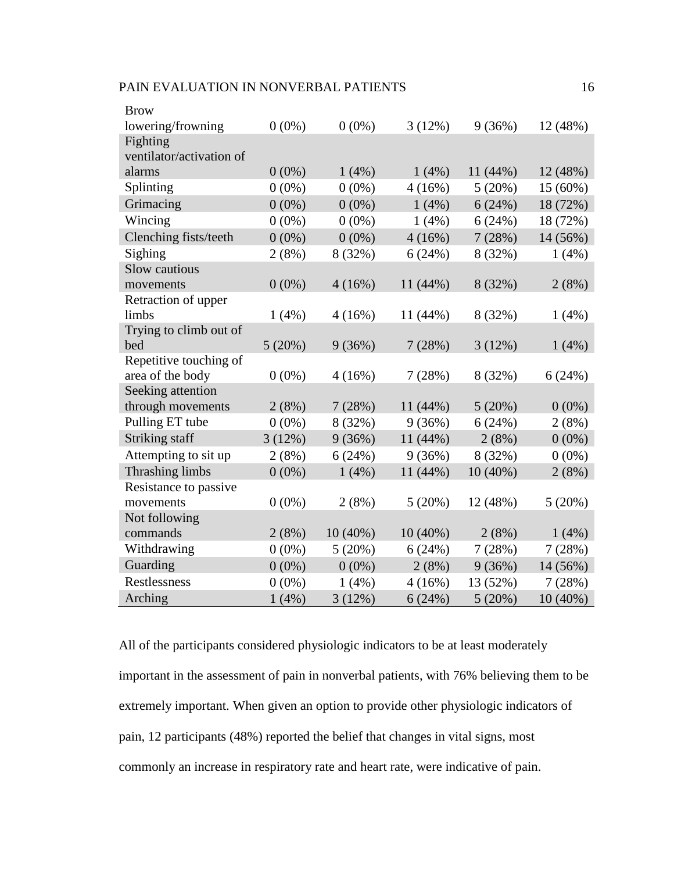| <b>Brow</b>              |          |            |            |            |            |
|--------------------------|----------|------------|------------|------------|------------|
| lowering/frowning        | $0(0\%)$ | $0(0\%)$   | 3(12%)     | 9(36%)     | 12 (48%)   |
| Fighting                 |          |            |            |            |            |
| ventilator/activation of |          |            |            |            |            |
| alarms                   | $0(0\%)$ | 1(4%)      | 1(4%)      | $11(44\%)$ | 12 (48%)   |
| Splinting                | $0(0\%)$ | $0(0\%)$   | 4(16%)     | 5(20%)     | 15 (60%)   |
| Grimacing                | $0(0\%)$ | $0(0\%)$   | 1(4%)      | 6(24%)     | 18 (72%)   |
| Wincing                  | $0(0\%)$ | $0(0\%)$   | 1(4%)      | 6(24%)     | 18 (72%)   |
| Clenching fists/teeth    | $0(0\%)$ | $0(0\%)$   | 4(16%)     | 7(28%)     | 14 (56%)   |
| Sighing                  | 2(8%)    | 8 (32%)    | 6(24%)     | 8 (32%)    | 1(4%)      |
| Slow cautious            |          |            |            |            |            |
| movements                | $0(0\%)$ | 4(16%)     | 11 (44%)   | 8 (32%)    | 2(8%)      |
| Retraction of upper      |          |            |            |            |            |
| limbs                    | 1(4%)    | 4(16%)     | 11(44%)    | 8 (32%)    | 1(4%)      |
| Trying to climb out of   |          |            |            |            |            |
| bed                      | 5(20%)   | 9(36%)     | 7(28%)     | 3(12%)     | 1(4%)      |
| Repetitive touching of   |          |            |            |            |            |
| area of the body         | $0(0\%)$ | 4(16%)     | 7(28%)     | 8 (32%)    | 6(24%)     |
| Seeking attention        |          |            |            |            |            |
| through movements        | 2(8%)    | 7(28%)     | 11 (44%)   | 5(20%)     | $0(0\%)$   |
| Pulling ET tube          | $0(0\%)$ | 8 (32%)    | 9(36%)     | 6(24%)     | 2(8%)      |
| Striking staff           | 3(12%)   | 9(36%)     | 11 (44%)   | 2(8%)      | $0(0\%)$   |
| Attempting to sit up     | 2(8%)    | 6(24%)     | 9(36%)     | 8 (32%)    | $0(0\%)$   |
| Thrashing limbs          | $0(0\%)$ | 1(4%)      | 11 (44%)   | $10(40\%)$ | 2(8%)      |
| Resistance to passive    |          |            |            |            |            |
| movements                | $0(0\%)$ | 2(8%)      | 5(20%)     | 12 (48%)   | 5(20%)     |
| Not following            |          |            |            |            |            |
| commands                 | 2(8%)    | $10(40\%)$ | $10(40\%)$ | 2(8%)      | 1(4%)      |
| Withdrawing              | $0(0\%)$ | 5(20%)     | 6(24%)     | 7(28%)     | 7(28%)     |
| Guarding                 | $0(0\%)$ | $0(0\%)$   | 2(8%)      | 9(36%)     | $14(56\%)$ |
| Restlessness             | $0(0\%)$ | 1(4%)      | 4(16%)     | 13 (52%)   | 7(28%)     |
| Arching                  | 1(4%)    | 3(12%)     | 6(24%)     | 5(20%)     | $10(40\%)$ |

All of the participants considered physiologic indicators to be at least moderately important in the assessment of pain in nonverbal patients, with 76% believing them to be extremely important. When given an option to provide other physiologic indicators of pain, 12 participants (48%) reported the belief that changes in vital signs, most commonly an increase in respiratory rate and heart rate, were indicative of pain.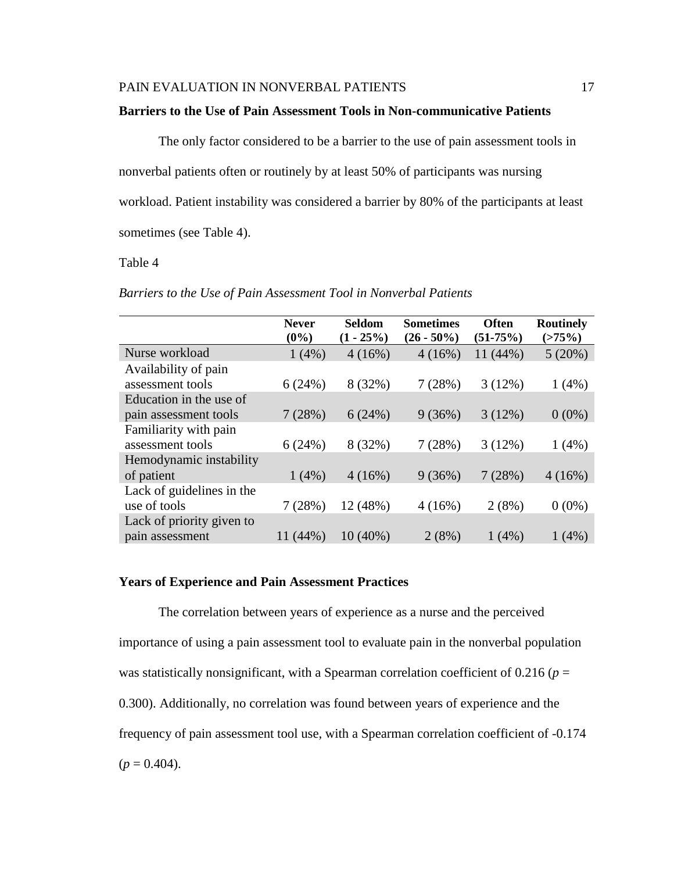#### **Barriers to the Use of Pain Assessment Tools in Non-communicative Patients**

The only factor considered to be a barrier to the use of pain assessment tools in nonverbal patients often or routinely by at least 50% of participants was nursing workload. Patient instability was considered a barrier by 80% of the participants at least sometimes (see Table 4).

# Table 4

| Barriers to the Use of Pain Assessment Tool in Nonverbal Patients |
|-------------------------------------------------------------------|
|-------------------------------------------------------------------|

|                           | <b>Never</b><br>$(0\%)$ | Seldom<br>$(1 - 25\%)$ | <b>Sometimes</b><br>$(26 - 50\%)$ | <b>Often</b><br>$(51-75%)$ | <b>Routinely</b><br>$(>75\%)$ |
|---------------------------|-------------------------|------------------------|-----------------------------------|----------------------------|-------------------------------|
| Nurse workload            | 1(4%)                   | 4(16%)                 | 4(16%)                            | 11 (44%)                   | 5(20%)                        |
| Availability of pain      |                         |                        |                                   |                            |                               |
| assessment tools          | 6(24%)                  | 8 (32%)                | 7(28%)                            | 3(12%)                     | 1(4%)                         |
| Education in the use of   |                         |                        |                                   |                            |                               |
| pain assessment tools     | 7(28%)                  | 6(24%)                 | 9(36%)                            | 3(12%)                     | $0(0\%)$                      |
| Familiarity with pain     |                         |                        |                                   |                            |                               |
| assessment tools          | 6(24%)                  | 8 (32%)                | 7(28%)                            | 3(12%)                     | 1(4%)                         |
| Hemodynamic instability   |                         |                        |                                   |                            |                               |
| of patient                | 1(4%)                   | 4(16%)                 | 9(36%)                            | 7(28%)                     | 4(16%)                        |
| Lack of guidelines in the |                         |                        |                                   |                            |                               |
| use of tools              | 7(28%)                  | 12 (48%)               | 4(16%)                            | 2(8%)                      | $0(0\%)$                      |
| Lack of priority given to |                         |                        |                                   |                            |                               |
| pain assessment           | 11 (44%)                | $10(40\%)$             | 2(8%)                             | $1(4\%)$                   | $1(4\%)$                      |

#### **Years of Experience and Pain Assessment Practices**

The correlation between years of experience as a nurse and the perceived importance of using a pain assessment tool to evaluate pain in the nonverbal population was statistically nonsignificant, with a Spearman correlation coefficient of  $0.216$  ( $p =$ 0.300). Additionally, no correlation was found between years of experience and the frequency of pain assessment tool use, with a Spearman correlation coefficient of -0.174  $(p = 0.404)$ .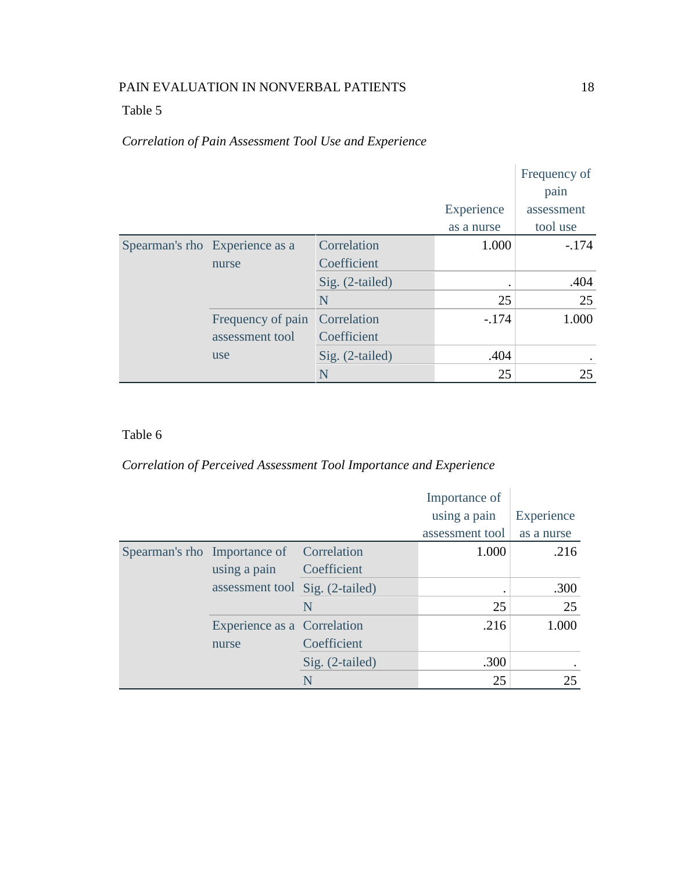# Table 5

# *Correlation of Pain Assessment Tool Use and Experience*

|  |                                |                 |            | Frequency of<br>pain |
|--|--------------------------------|-----------------|------------|----------------------|
|  |                                |                 | Experience | assessment           |
|  |                                |                 | as a nurse | tool use             |
|  | Spearman's rho Experience as a | Correlation     | 1.000      | $-174$               |
|  | nurse                          | Coefficient     |            |                      |
|  |                                | Sig. (2-tailed) |            | .404                 |
|  |                                | N               | 25         | 25                   |
|  | Frequency of pain              | Correlation     | $-.174$    | 1.000                |
|  | assessment tool                | Coefficient     |            |                      |
|  | use                            | Sig. (2-tailed) | .404       |                      |
|  |                                | N               | 25         | 25                   |

# Table 6

# *Correlation of Perceived Assessment Tool Importance and Experience*

|                              |                                 |                 | Importance of   |            |
|------------------------------|---------------------------------|-----------------|-----------------|------------|
|                              |                                 |                 | using a pain    | Experience |
|                              |                                 |                 | assessment tool | as a nurse |
| Spearman's rho Importance of |                                 | Correlation     | 1.000           | .216       |
|                              | using a pain                    | Coefficient     |                 |            |
|                              | assessment tool Sig. (2-tailed) |                 | $\bullet$       | .300       |
|                              |                                 | N               | 25              | 25         |
|                              | Experience as a Correlation     |                 | .216            | 1.000      |
|                              | nurse                           | Coefficient     |                 |            |
|                              |                                 | Sig. (2-tailed) | .300            |            |
|                              |                                 | N               | 25              | 25         |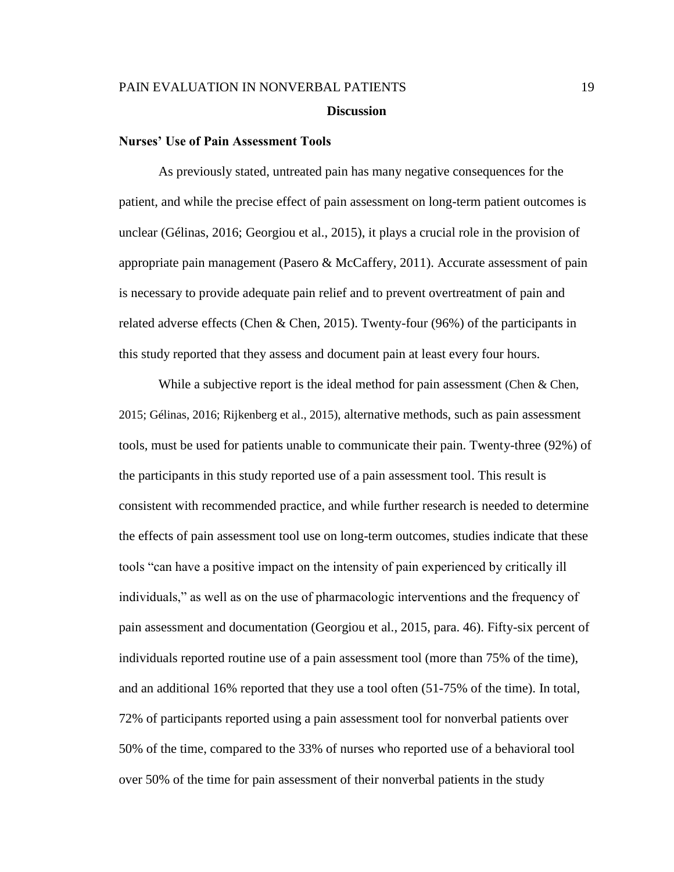#### **Nurses' Use of Pain Assessment Tools**

As previously stated, untreated pain has many negative consequences for the patient, and while the precise effect of pain assessment on long-term patient outcomes is unclear (Gélinas, 2016; Georgiou et al., 2015), it plays a crucial role in the provision of appropriate pain management (Pasero & McCaffery, 2011). Accurate assessment of pain is necessary to provide adequate pain relief and to prevent overtreatment of pain and related adverse effects (Chen & Chen, 2015). Twenty-four (96%) of the participants in this study reported that they assess and document pain at least every four hours.

While a subjective report is the ideal method for pain assessment (Chen & Chen, 2015; Gélinas, 2016; Rijkenberg et al., 2015), alternative methods, such as pain assessment tools, must be used for patients unable to communicate their pain. Twenty-three (92%) of the participants in this study reported use of a pain assessment tool. This result is consistent with recommended practice, and while further research is needed to determine the effects of pain assessment tool use on long-term outcomes, studies indicate that these tools "can have a positive impact on the intensity of pain experienced by critically ill individuals," as well as on the use of pharmacologic interventions and the frequency of pain assessment and documentation (Georgiou et al., 2015, para. 46). Fifty-six percent of individuals reported routine use of a pain assessment tool (more than 75% of the time), and an additional 16% reported that they use a tool often (51-75% of the time). In total, 72% of participants reported using a pain assessment tool for nonverbal patients over 50% of the time, compared to the 33% of nurses who reported use of a behavioral tool over 50% of the time for pain assessment of their nonverbal patients in the study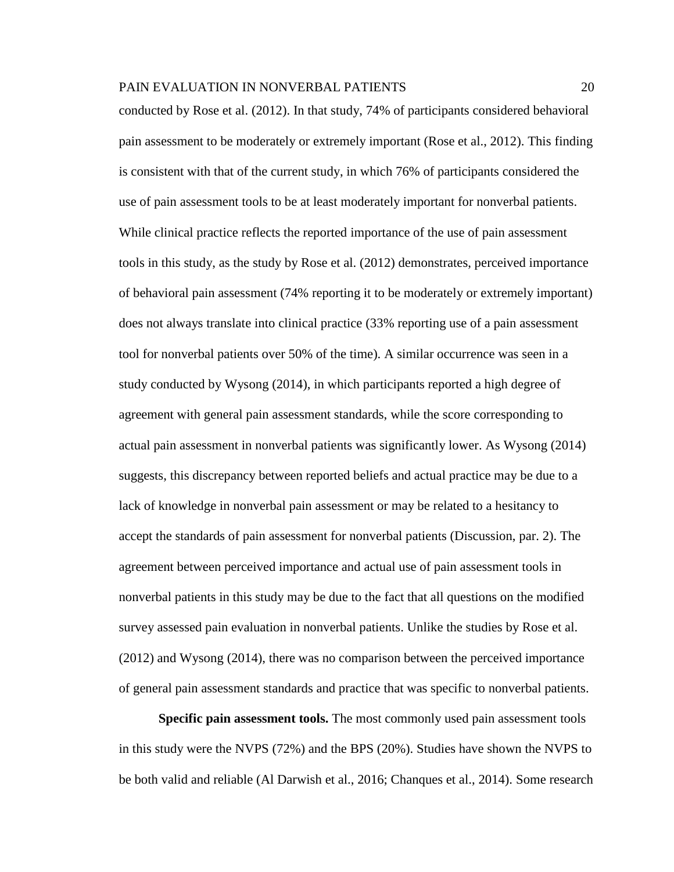conducted by Rose et al. (2012). In that study, 74% of participants considered behavioral pain assessment to be moderately or extremely important (Rose et al., 2012). This finding is consistent with that of the current study, in which 76% of participants considered the use of pain assessment tools to be at least moderately important for nonverbal patients. While clinical practice reflects the reported importance of the use of pain assessment tools in this study, as the study by Rose et al. (2012) demonstrates, perceived importance of behavioral pain assessment (74% reporting it to be moderately or extremely important) does not always translate into clinical practice (33% reporting use of a pain assessment tool for nonverbal patients over 50% of the time). A similar occurrence was seen in a study conducted by Wysong (2014), in which participants reported a high degree of agreement with general pain assessment standards, while the score corresponding to actual pain assessment in nonverbal patients was significantly lower. As Wysong (2014) suggests, this discrepancy between reported beliefs and actual practice may be due to a lack of knowledge in nonverbal pain assessment or may be related to a hesitancy to accept the standards of pain assessment for nonverbal patients (Discussion, par. 2). The agreement between perceived importance and actual use of pain assessment tools in nonverbal patients in this study may be due to the fact that all questions on the modified survey assessed pain evaluation in nonverbal patients. Unlike the studies by Rose et al. (2012) and Wysong (2014), there was no comparison between the perceived importance of general pain assessment standards and practice that was specific to nonverbal patients.

**Specific pain assessment tools.** The most commonly used pain assessment tools in this study were the NVPS (72%) and the BPS (20%). Studies have shown the NVPS to be both valid and reliable (Al Darwish et al., 2016; Chanques et al., 2014). Some research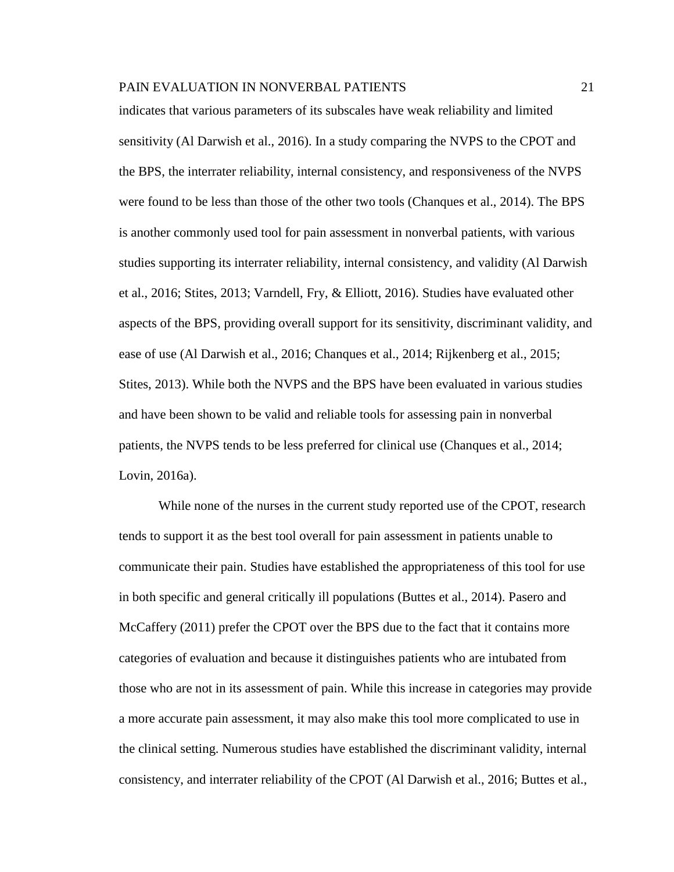indicates that various parameters of its subscales have weak reliability and limited sensitivity (Al Darwish et al., 2016). In a study comparing the NVPS to the CPOT and the BPS, the interrater reliability, internal consistency, and responsiveness of the NVPS were found to be less than those of the other two tools (Chanques et al., 2014). The BPS is another commonly used tool for pain assessment in nonverbal patients, with various studies supporting its interrater reliability, internal consistency, and validity (Al Darwish et al., 2016; Stites, 2013; Varndell, Fry, & Elliott, 2016). Studies have evaluated other aspects of the BPS, providing overall support for its sensitivity, discriminant validity, and ease of use (Al Darwish et al., 2016; Chanques et al., 2014; Rijkenberg et al., 2015; Stites, 2013). While both the NVPS and the BPS have been evaluated in various studies and have been shown to be valid and reliable tools for assessing pain in nonverbal patients, the NVPS tends to be less preferred for clinical use (Chanques et al., 2014; Lovin, 2016a).

While none of the nurses in the current study reported use of the CPOT, research tends to support it as the best tool overall for pain assessment in patients unable to communicate their pain. Studies have established the appropriateness of this tool for use in both specific and general critically ill populations (Buttes et al., 2014). Pasero and McCaffery (2011) prefer the CPOT over the BPS due to the fact that it contains more categories of evaluation and because it distinguishes patients who are intubated from those who are not in its assessment of pain. While this increase in categories may provide a more accurate pain assessment, it may also make this tool more complicated to use in the clinical setting. Numerous studies have established the discriminant validity, internal consistency, and interrater reliability of the CPOT (Al Darwish et al., 2016; Buttes et al.,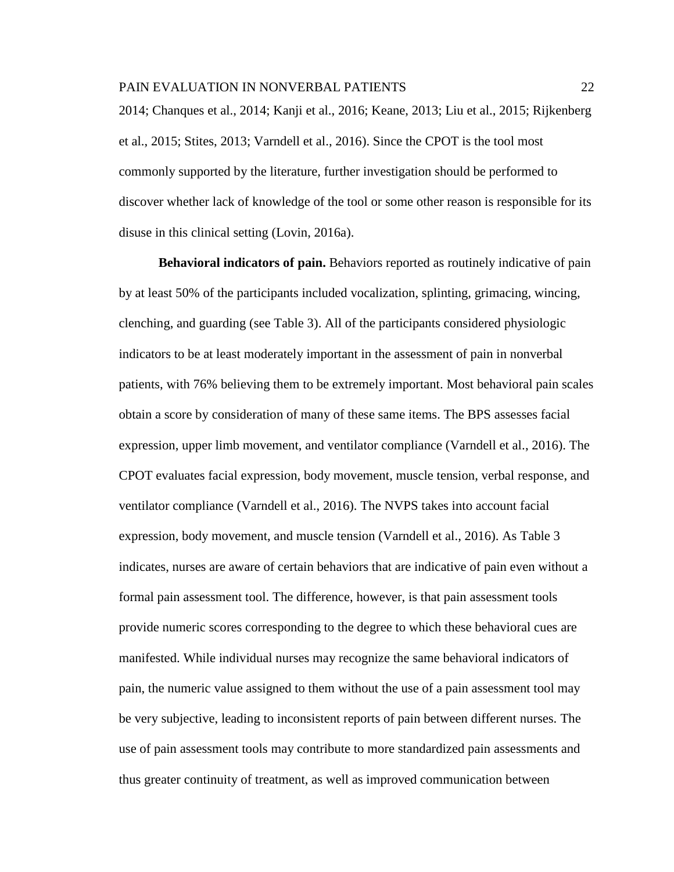2014; Chanques et al., 2014; Kanji et al., 2016; Keane, 2013; Liu et al., 2015; Rijkenberg et al., 2015; Stites, 2013; Varndell et al., 2016). Since the CPOT is the tool most commonly supported by the literature, further investigation should be performed to discover whether lack of knowledge of the tool or some other reason is responsible for its disuse in this clinical setting (Lovin, 2016a).

**Behavioral indicators of pain.** Behaviors reported as routinely indicative of pain by at least 50% of the participants included vocalization, splinting, grimacing, wincing, clenching, and guarding (see Table 3). All of the participants considered physiologic indicators to be at least moderately important in the assessment of pain in nonverbal patients, with 76% believing them to be extremely important. Most behavioral pain scales obtain a score by consideration of many of these same items. The BPS assesses facial expression, upper limb movement, and ventilator compliance (Varndell et al., 2016). The CPOT evaluates facial expression, body movement, muscle tension, verbal response, and ventilator compliance (Varndell et al., 2016). The NVPS takes into account facial expression, body movement, and muscle tension (Varndell et al., 2016). As Table 3 indicates, nurses are aware of certain behaviors that are indicative of pain even without a formal pain assessment tool. The difference, however, is that pain assessment tools provide numeric scores corresponding to the degree to which these behavioral cues are manifested. While individual nurses may recognize the same behavioral indicators of pain, the numeric value assigned to them without the use of a pain assessment tool may be very subjective, leading to inconsistent reports of pain between different nurses. The use of pain assessment tools may contribute to more standardized pain assessments and thus greater continuity of treatment, as well as improved communication between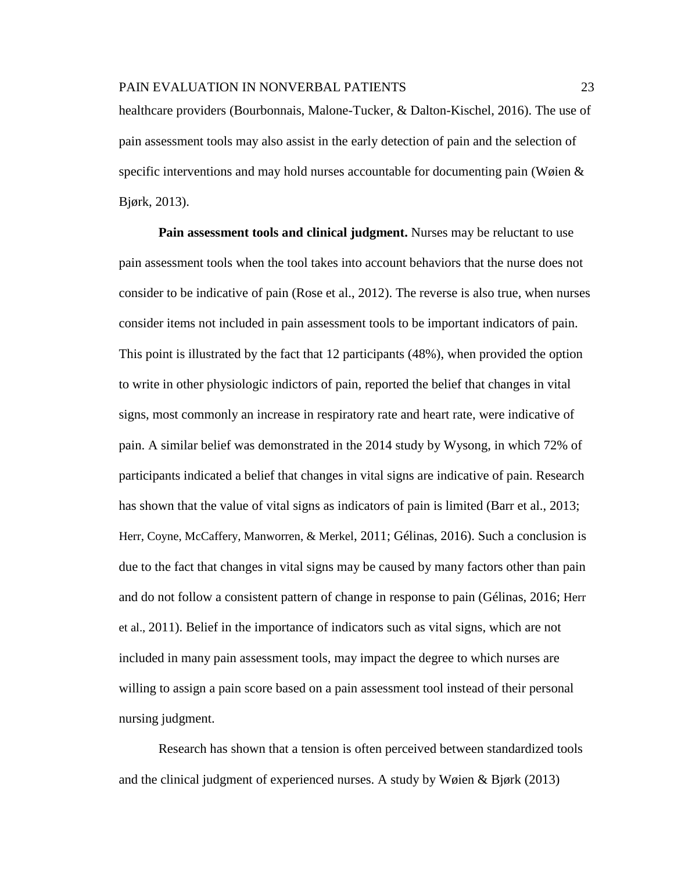healthcare providers (Bourbonnais, Malone-Tucker, & Dalton-Kischel, 2016). The use of pain assessment tools may also assist in the early detection of pain and the selection of specific interventions and may hold nurses accountable for documenting pain (Wøien & Bjørk, 2013).

**Pain assessment tools and clinical judgment.** Nurses may be reluctant to use pain assessment tools when the tool takes into account behaviors that the nurse does not consider to be indicative of pain (Rose et al., 2012). The reverse is also true, when nurses consider items not included in pain assessment tools to be important indicators of pain. This point is illustrated by the fact that 12 participants (48%), when provided the option to write in other physiologic indictors of pain, reported the belief that changes in vital signs, most commonly an increase in respiratory rate and heart rate, were indicative of pain. A similar belief was demonstrated in the 2014 study by Wysong, in which 72% of participants indicated a belief that changes in vital signs are indicative of pain. Research has shown that the value of vital signs as indicators of pain is limited (Barr et al., 2013; Herr, Coyne, McCaffery, Manworren, & Merkel, 2011; Gélinas, 2016). Such a conclusion is due to the fact that changes in vital signs may be caused by many factors other than pain and do not follow a consistent pattern of change in response to pain (Gélinas, 2016; Herr et al., 2011). Belief in the importance of indicators such as vital signs, which are not included in many pain assessment tools, may impact the degree to which nurses are willing to assign a pain score based on a pain assessment tool instead of their personal nursing judgment.

Research has shown that a tension is often perceived between standardized tools and the clinical judgment of experienced nurses. A study by Wøien & Bjørk (2013)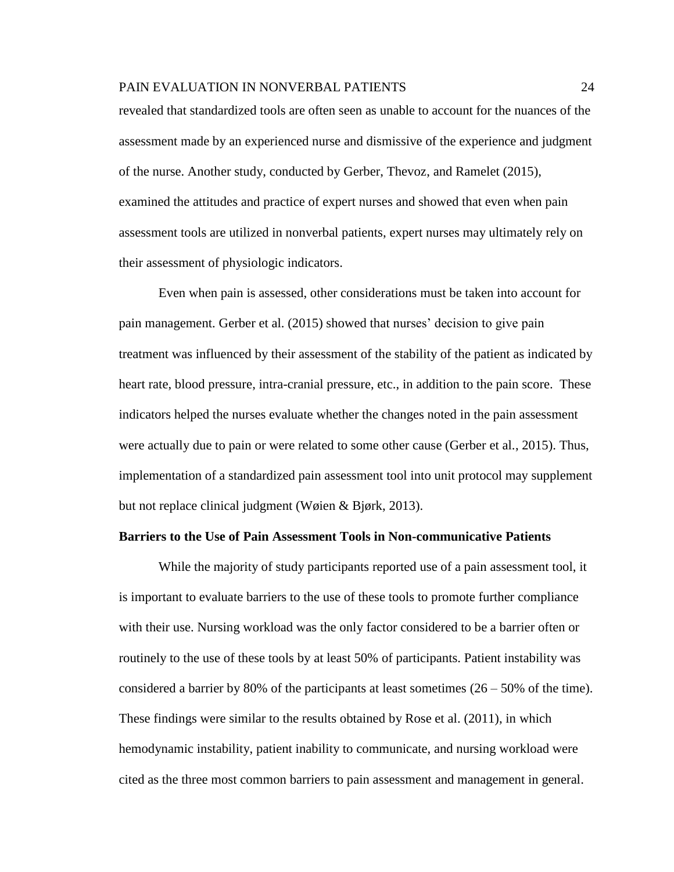revealed that standardized tools are often seen as unable to account for the nuances of the assessment made by an experienced nurse and dismissive of the experience and judgment of the nurse. Another study, conducted by Gerber, Thevoz, and Ramelet (2015), examined the attitudes and practice of expert nurses and showed that even when pain assessment tools are utilized in nonverbal patients, expert nurses may ultimately rely on their assessment of physiologic indicators.

Even when pain is assessed, other considerations must be taken into account for pain management. Gerber et al. (2015) showed that nurses' decision to give pain treatment was influenced by their assessment of the stability of the patient as indicated by heart rate, blood pressure, intra-cranial pressure, etc., in addition to the pain score. These indicators helped the nurses evaluate whether the changes noted in the pain assessment were actually due to pain or were related to some other cause (Gerber et al., 2015). Thus, implementation of a standardized pain assessment tool into unit protocol may supplement but not replace clinical judgment (Wøien & Bjørk, 2013).

#### **Barriers to the Use of Pain Assessment Tools in Non-communicative Patients**

While the majority of study participants reported use of a pain assessment tool, it is important to evaluate barriers to the use of these tools to promote further compliance with their use. Nursing workload was the only factor considered to be a barrier often or routinely to the use of these tools by at least 50% of participants. Patient instability was considered a barrier by 80% of the participants at least sometimes  $(26 – 50%$  of the time). These findings were similar to the results obtained by Rose et al. (2011), in which hemodynamic instability, patient inability to communicate, and nursing workload were cited as the three most common barriers to pain assessment and management in general.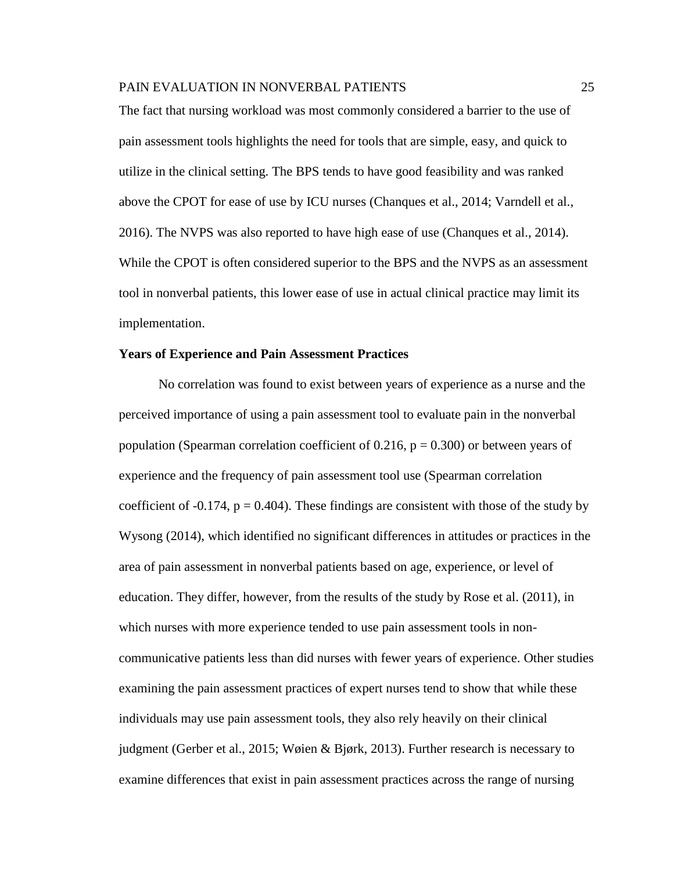The fact that nursing workload was most commonly considered a barrier to the use of pain assessment tools highlights the need for tools that are simple, easy, and quick to utilize in the clinical setting. The BPS tends to have good feasibility and was ranked above the CPOT for ease of use by ICU nurses (Chanques et al., 2014; Varndell et al., 2016). The NVPS was also reported to have high ease of use (Chanques et al., 2014). While the CPOT is often considered superior to the BPS and the NVPS as an assessment tool in nonverbal patients, this lower ease of use in actual clinical practice may limit its implementation.

#### **Years of Experience and Pain Assessment Practices**

No correlation was found to exist between years of experience as a nurse and the perceived importance of using a pain assessment tool to evaluate pain in the nonverbal population (Spearman correlation coefficient of  $0.216$ ,  $p = 0.300$ ) or between years of experience and the frequency of pain assessment tool use (Spearman correlation coefficient of -0.174,  $p = 0.404$ ). These findings are consistent with those of the study by Wysong (2014), which identified no significant differences in attitudes or practices in the area of pain assessment in nonverbal patients based on age, experience, or level of education. They differ, however, from the results of the study by Rose et al. (2011), in which nurses with more experience tended to use pain assessment tools in noncommunicative patients less than did nurses with fewer years of experience. Other studies examining the pain assessment practices of expert nurses tend to show that while these individuals may use pain assessment tools, they also rely heavily on their clinical judgment (Gerber et al., 2015; Wøien & Bjørk, 2013). Further research is necessary to examine differences that exist in pain assessment practices across the range of nursing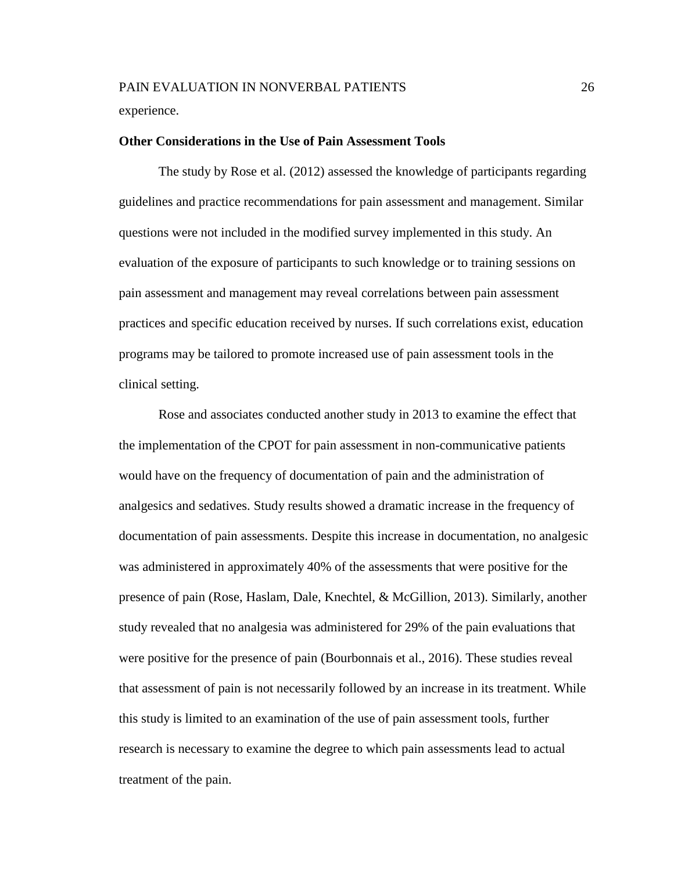experience.

#### **Other Considerations in the Use of Pain Assessment Tools**

The study by Rose et al. (2012) assessed the knowledge of participants regarding guidelines and practice recommendations for pain assessment and management. Similar questions were not included in the modified survey implemented in this study. An evaluation of the exposure of participants to such knowledge or to training sessions on pain assessment and management may reveal correlations between pain assessment practices and specific education received by nurses. If such correlations exist, education programs may be tailored to promote increased use of pain assessment tools in the clinical setting.

Rose and associates conducted another study in 2013 to examine the effect that the implementation of the CPOT for pain assessment in non-communicative patients would have on the frequency of documentation of pain and the administration of analgesics and sedatives. Study results showed a dramatic increase in the frequency of documentation of pain assessments. Despite this increase in documentation, no analgesic was administered in approximately 40% of the assessments that were positive for the presence of pain (Rose, Haslam, Dale, Knechtel, & McGillion, 2013). Similarly, another study revealed that no analgesia was administered for 29% of the pain evaluations that were positive for the presence of pain (Bourbonnais et al., 2016). These studies reveal that assessment of pain is not necessarily followed by an increase in its treatment. While this study is limited to an examination of the use of pain assessment tools, further research is necessary to examine the degree to which pain assessments lead to actual treatment of the pain.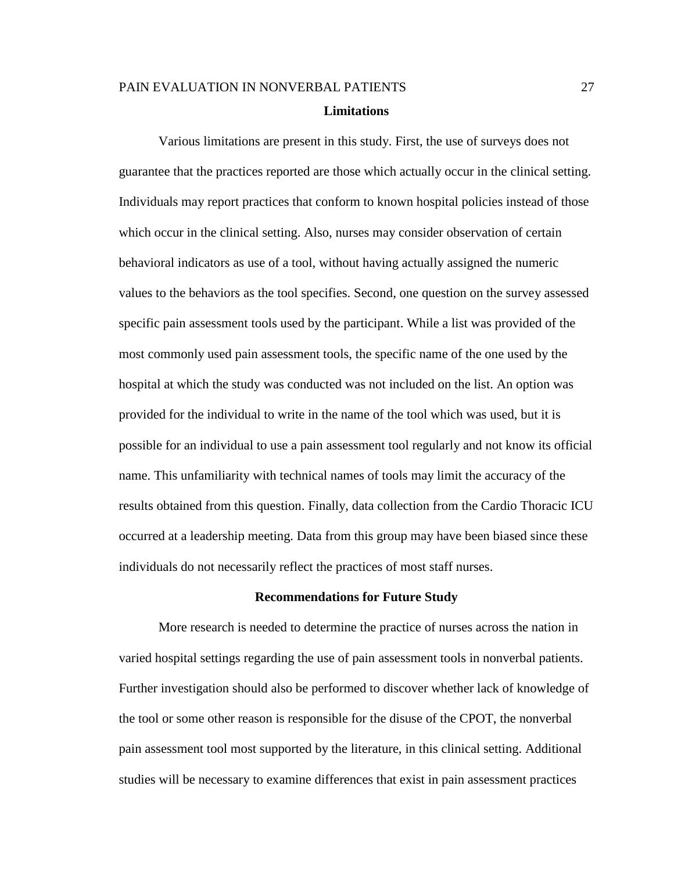# PAIN EVALUATION IN NONVERBAL PATIENTS 27 **Limitations**

Various limitations are present in this study. First, the use of surveys does not guarantee that the practices reported are those which actually occur in the clinical setting. Individuals may report practices that conform to known hospital policies instead of those which occur in the clinical setting. Also, nurses may consider observation of certain behavioral indicators as use of a tool, without having actually assigned the numeric values to the behaviors as the tool specifies. Second, one question on the survey assessed specific pain assessment tools used by the participant. While a list was provided of the most commonly used pain assessment tools, the specific name of the one used by the hospital at which the study was conducted was not included on the list. An option was provided for the individual to write in the name of the tool which was used, but it is possible for an individual to use a pain assessment tool regularly and not know its official name. This unfamiliarity with technical names of tools may limit the accuracy of the results obtained from this question. Finally, data collection from the Cardio Thoracic ICU occurred at a leadership meeting. Data from this group may have been biased since these individuals do not necessarily reflect the practices of most staff nurses.

#### **Recommendations for Future Study**

More research is needed to determine the practice of nurses across the nation in varied hospital settings regarding the use of pain assessment tools in nonverbal patients. Further investigation should also be performed to discover whether lack of knowledge of the tool or some other reason is responsible for the disuse of the CPOT, the nonverbal pain assessment tool most supported by the literature, in this clinical setting. Additional studies will be necessary to examine differences that exist in pain assessment practices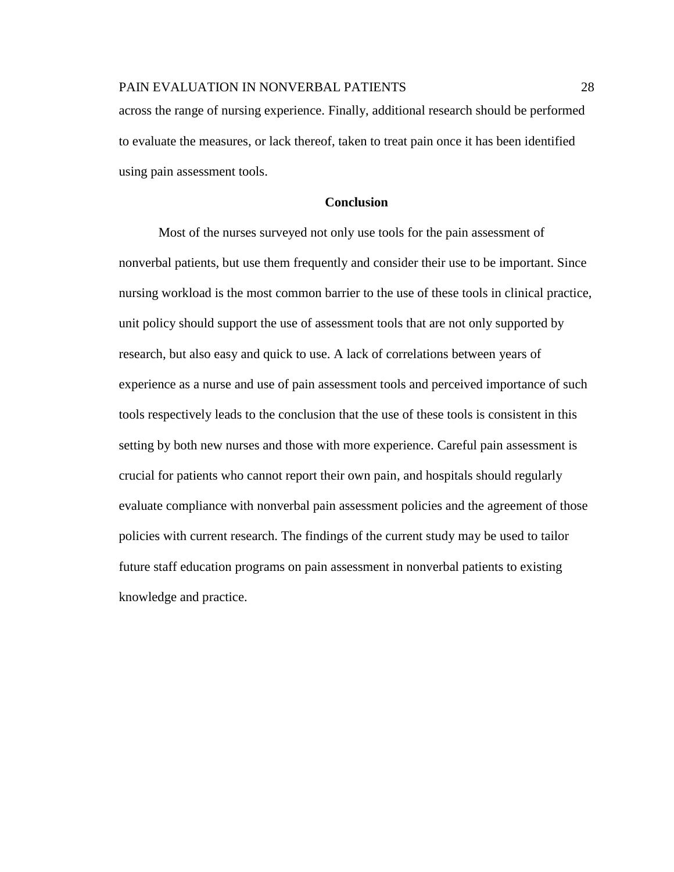across the range of nursing experience. Finally, additional research should be performed to evaluate the measures, or lack thereof, taken to treat pain once it has been identified using pain assessment tools.

# **Conclusion**

Most of the nurses surveyed not only use tools for the pain assessment of nonverbal patients, but use them frequently and consider their use to be important. Since nursing workload is the most common barrier to the use of these tools in clinical practice, unit policy should support the use of assessment tools that are not only supported by research, but also easy and quick to use. A lack of correlations between years of experience as a nurse and use of pain assessment tools and perceived importance of such tools respectively leads to the conclusion that the use of these tools is consistent in this setting by both new nurses and those with more experience. Careful pain assessment is crucial for patients who cannot report their own pain, and hospitals should regularly evaluate compliance with nonverbal pain assessment policies and the agreement of those policies with current research. The findings of the current study may be used to tailor future staff education programs on pain assessment in nonverbal patients to existing knowledge and practice.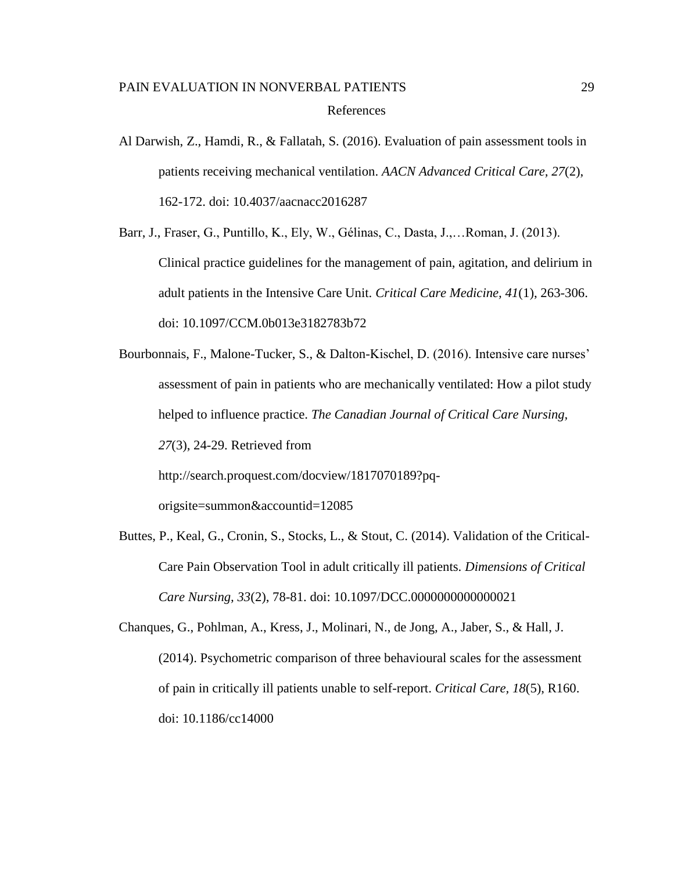Al Darwish, Z., Hamdi, R., & Fallatah, S. (2016). Evaluation of pain assessment tools in patients receiving mechanical ventilation. *AACN Advanced Critical Care, 27*(2), 162-172. doi: 10.4037/aacnacc2016287

Barr, J., Fraser, G., Puntillo, K., Ely, W., Gélinas, C., Dasta, J.,…Roman, J. (2013). Clinical practice guidelines for the management of pain, agitation, and delirium in adult patients in the Intensive Care Unit. *Critical Care Medicine, 41*(1), 263-306. doi: 10.1097/CCM.0b013e3182783b72

Bourbonnais, F., Malone-Tucker, S., & Dalton-Kischel, D. (2016). Intensive care nurses' assessment of pain in patients who are mechanically ventilated: How a pilot study helped to influence practice. *The Canadian Journal of Critical Care Nursing, 27*(3), 24-29. Retrieved from http://search.proquest.com/docview/1817070189?pq-

origsite=summon&accountid=12085

Buttes, P., Keal, G., Cronin, S., Stocks, L., & Stout, C. (2014). Validation of the Critical-Care Pain Observation Tool in adult critically ill patients. *Dimensions of Critical Care Nursing, 33*(2), 78-81. doi: 10.1097/DCC.0000000000000021

Chanques, G., Pohlman, A., Kress, J., Molinari, N., de Jong, A., Jaber, S., & Hall, J. (2014). Psychometric comparison of three behavioural scales for the assessment of pain in critically ill patients unable to self-report. *Critical Care, 18*(5), R160. doi: 10.1186/cc14000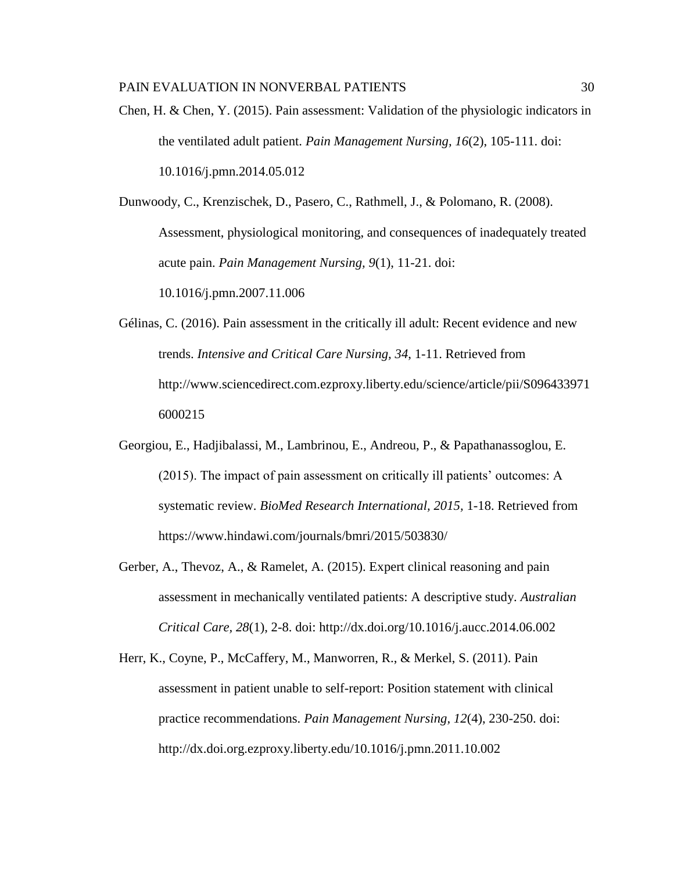Chen, H. & Chen, Y. (2015). Pain assessment: Validation of the physiologic indicators in the ventilated adult patient. *Pain Management Nursing, 16*(2), 105-111. doi: 10.1016/j.pmn.2014.05.012

Dunwoody, C., Krenzischek, D., Pasero, C., Rathmell, J., & Polomano, R. (2008). Assessment, physiological monitoring, and consequences of inadequately treated acute pain. *Pain Management Nursing, 9*(1), 11-21. doi:

10.1016/j.pmn.2007.11.006

- Gélinas, C. (2016). Pain assessment in the critically ill adult: Recent evidence and new trends. *Intensive and Critical Care Nursing, 34*, 1-11. Retrieved from [http://www.sciencedirect.com.ezproxy.liberty.edu/science/article/pii/S096433971](http://www.sciencedirect.com.ezproxy.liberty.edu/science/article/pii/S0964339716000215) [6000215](http://www.sciencedirect.com.ezproxy.liberty.edu/science/article/pii/S0964339716000215)
- Georgiou, E., Hadjibalassi, M., Lambrinou, E., Andreou, P., & Papathanassoglou, E. (2015). The impact of pain assessment on critically ill patients' outcomes: A systematic review. *BioMed Research International, 2015,* 1-18. Retrieved from https://www.hindawi.com/journals/bmri/2015/503830/
- Gerber, A., Thevoz, A., & Ramelet, A. (2015). Expert clinical reasoning and pain assessment in mechanically ventilated patients: A descriptive study. *Australian Critical Care, 28*(1), 2-8. doi: http://dx.doi.org/10.1016/j.aucc.2014.06.002
- Herr, K., Coyne, P., McCaffery, M., Manworren, R., & Merkel, S. (2011). Pain assessment in patient unable to self-report: Position statement with clinical practice recommendations. *Pain Management Nursing, 12*(4), 230-250. doi: http://dx.doi.org.ezproxy.liberty.edu/10.1016/j.pmn.2011.10.002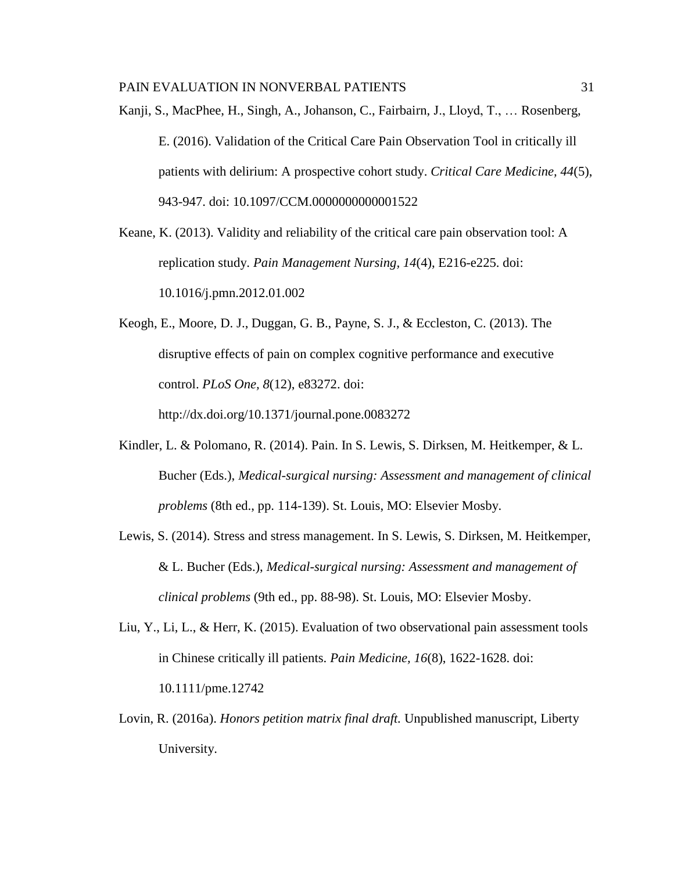- Kanji, S., MacPhee, H., Singh, A., Johanson, C., Fairbairn, J., Lloyd, T., … Rosenberg, E. (2016). Validation of the Critical Care Pain Observation Tool in critically ill patients with delirium: A prospective cohort study. *Critical Care Medicine, 44*(5), 943-947. doi: 10.1097/CCM.0000000000001522
- Keane, K. (2013). Validity and reliability of the critical care pain observation tool: A replication study. *Pain Management Nursing, 14*(4), E216-e225. doi: 10.1016/j.pmn.2012.01.002
- Keogh, E., Moore, D. J., Duggan, G. B., Payne, S. J., & Eccleston, C. (2013). The disruptive effects of pain on complex cognitive performance and executive control. *PLoS One, 8*(12), e83272. doi:

http://dx.doi.org/10.1371/journal.pone.0083272

- Kindler, L. & Polomano, R. (2014). Pain. In S. Lewis, S. Dirksen, M. Heitkemper, & L. Bucher (Eds.), *Medical-surgical nursing: Assessment and management of clinical problems* (8th ed., pp. 114-139). St. Louis, MO: Elsevier Mosby.
- Lewis, S. (2014). Stress and stress management. In S. Lewis, S. Dirksen, M. Heitkemper, & L. Bucher (Eds.), *Medical-surgical nursing: Assessment and management of clinical problems* (9th ed., pp. 88-98). St. Louis, MO: Elsevier Mosby.
- Liu, Y., Li, L., & Herr, K. (2015). Evaluation of two observational pain assessment tools in Chinese critically ill patients. *Pain Medicine, 16*(8), 1622-1628. doi: 10.1111/pme.12742
- Lovin, R. (2016a). *Honors petition matrix final draft.* Unpublished manuscript, Liberty University.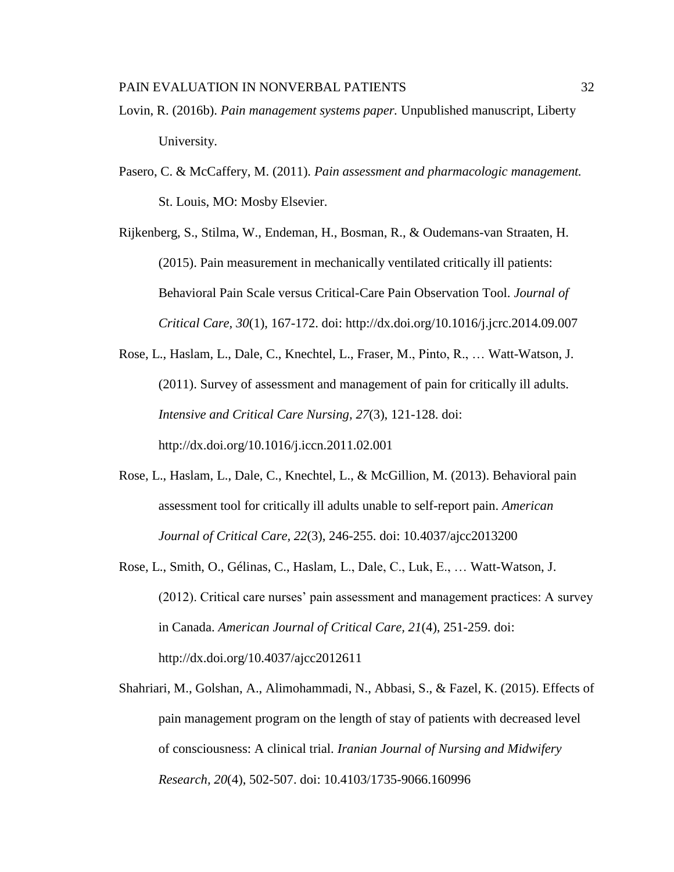- Lovin, R. (2016b). *Pain management systems paper.* Unpublished manuscript, Liberty University.
- Pasero, C. & McCaffery, M. (2011). *Pain assessment and pharmacologic management.*  St. Louis, MO: Mosby Elsevier.

Rijkenberg, S., Stilma, W., Endeman, H., Bosman, R., & Oudemans-van Straaten, H. (2015). Pain measurement in mechanically ventilated critically ill patients: Behavioral Pain Scale versus Critical-Care Pain Observation Tool. *Journal of Critical Care, 30*(1), 167-172. doi:<http://dx.doi.org/10.1016/j.jcrc.2014.09.007>

- Rose, L., Haslam, L., Dale, C., Knechtel, L., Fraser, M., Pinto, R., … Watt-Watson, J. (2011). Survey of assessment and management of pain for critically ill adults. *Intensive and Critical Care Nursing, 27*(3), 121-128. doi: <http://dx.doi.org/10.1016/j.iccn.2011.02.001>
- Rose, L., Haslam, L., Dale, C., Knechtel, L., & McGillion, M. (2013). Behavioral pain assessment tool for critically ill adults unable to self-report pain. *American Journal of Critical Care, 22*(3), 246-255. doi: 10.4037/ajcc2013200
- Rose, L., Smith, O., Gélinas, C., Haslam, L., Dale, C., Luk, E., … Watt-Watson, J. (2012). Critical care nurses' pain assessment and management practices: A survey in Canada. *American Journal of Critical Care, 21*(4), 251-259. doi: http://dx.doi.org/10.4037/ajcc2012611
- Shahriari, M., Golshan, A., Alimohammadi, N., Abbasi, S., & Fazel, K. (2015). Effects of pain management program on the length of stay of patients with decreased level of consciousness: A clinical trial. *Iranian Journal of Nursing and Midwifery Research, 20*(4), 502-507. doi: 10.4103/1735-9066.160996